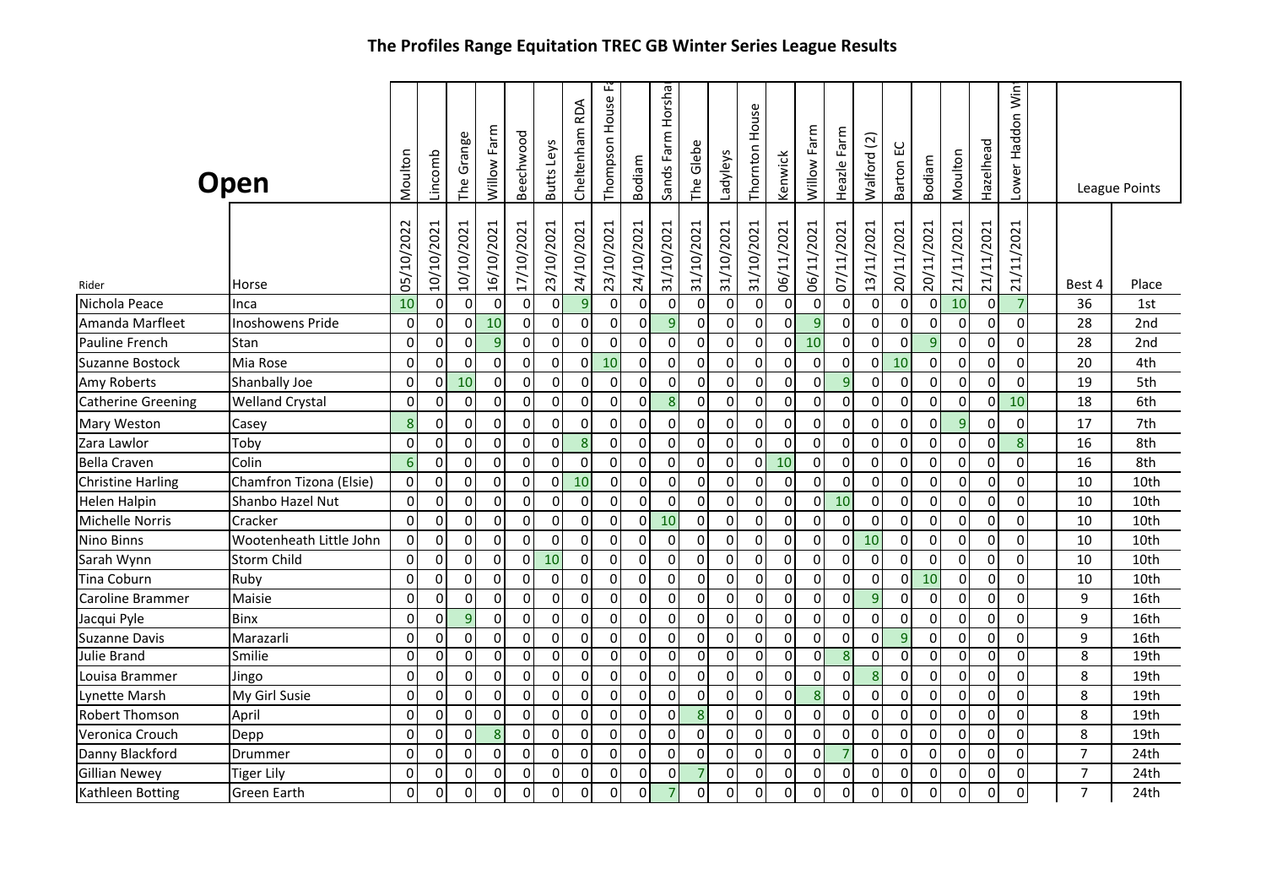|                           | Open                    | Moulton         | Lincomb     | Grange<br>The  | Willow Farm      | Beechwood           | Butts Leys     | Cheltenham RDA   | Thompson House F | Bodiam         | Sands Farm Horsha | Glebe<br>The     | Ladyleys       | Thornton House | Kenwick     | Farm<br>Willow | Farm<br>Heazle | $\widehat{\mathfrak{g}}$<br>Walford | ဌ<br>Barton | Bodiam         | Moulton        | Hazelhead  | Lower Haddon Win |                | League Points |
|---------------------------|-------------------------|-----------------|-------------|----------------|------------------|---------------------|----------------|------------------|------------------|----------------|-------------------|------------------|----------------|----------------|-------------|----------------|----------------|-------------------------------------|-------------|----------------|----------------|------------|------------------|----------------|---------------|
| Rider                     | Horse                   | 05/10/2022      | 10/10/2021  | 10/10/2021     | 16/10/2021       | 17/10/2021          | 23/10/2021     | 24/10/2021       | 23/10/2021       | 24/10/2021     | 31/10/2021        | 31/10/2021       | 31/10/2021     | 31/10/2021     | 06/11/2021  | 06/11/2021     | 07/11/2021     | 13/11/2021                          | 20/11/2021  | 20/11/2021     | 21/11/2021     | 21/11/2021 | 21/11/2021       | Best 4         | Place         |
| Nichola Peace             | Inca                    | 10              | $\pmb{0}$   | $\pmb{0}$      | $\pmb{0}$        | $\pmb{0}$           | $\overline{0}$ | $\boldsymbol{9}$ | $\overline{0}$   | $\overline{0}$ | $\mathbf 0$       | $\mathbf 0$      | $\overline{0}$ | $\overline{0}$ | $\pmb{0}$   | $\Omega$       | $\mathbf 0$    | 0                                   | 0           | $\Omega$       | 10             | $\Omega$   | $\overline{7}$   | 36             | 1st           |
| Amanda Marfleet           | Inoshowens Pride        | $\mathbf 0$     | $\pmb{0}$   | $\pmb{0}$      | 10               | $\pmb{0}$           | $\overline{0}$ | $\pmb{0}$        | $\Omega$         | $\overline{0}$ | 9                 | $\mathbf 0$      | $\overline{0}$ | $\overline{0}$ | $\mathbf 0$ | $\overline{9}$ | $\pmb{0}$      | 0                                   | 0           | $\mathbf 0$    | $\mathbf 0$    | $\Omega$   | $\Omega$         | 28             | 2nd           |
| Pauline French            | Stan                    | 0               | $\pmb{0}$   | $\pmb{0}$      | $\overline{9}$   | $\pmb{0}$           | $\pmb{0}$      | $\pmb{0}$        | $\overline{0}$   | $\overline{0}$ | $\mathbf 0$       | $\mathbf 0$      | $\overline{0}$ | $\Omega$       | 0           | 10             | $\pmb{0}$      | 0                                   | 0           | 9              | 0              | $\Omega$   | $\Omega$         | 28             | 2nd           |
| <b>Suzanne Bostock</b>    | Mia Rose                | $\mathbf 0$     | $\Omega$    | $\mathbf 0$    | $\mathbf 0$      | 0                   | $\mathbf 0$    | 0                | 10               | $\Omega$       | $\Omega$          | $\mathbf 0$      | $\mathbf 0$    | 0              | 0           | $\Omega$       | $\mathbf 0$    | 0                                   | 10          | $\Omega$       | $\Omega$       | $\Omega$   | $\Omega$         | 20             | 4th           |
| Amy Roberts               | Shanbally Joe           | $\mathbf 0$     | $\mathbf 0$ | 10             | $\mathbf 0$      | $\mathbf 0$         | $\overline{0}$ | $\mathbf 0$      | $\Omega$         | $\overline{0}$ | $\mathbf 0$       | $\Omega$         | $\overline{0}$ | $\overline{0}$ | $\mathbf 0$ | $\Omega$       | $\overline{9}$ | 0                                   | $\Omega$    | $\Omega$       | $\Omega$       | $\Omega$   | $\Omega$         | 19             | 5th           |
| <b>Catherine Greening</b> | <b>Welland Crystal</b>  | $\mathbf 0$     | $\mathbf 0$ | $\mathbf 0$    | $\mathbf 0$      | $\pmb{0}$           | $\overline{0}$ | $\mathbf 0$      | $\overline{0}$   | $\overline{0}$ | 8                 | $\mathbf 0$      | $\overline{0}$ | $\overline{0}$ | $\mathbf 0$ | $\overline{0}$ | $\mathbf 0$    | 0                                   | 0           | $\mathbf 0$    | $\mathbf{0}$   | $\Omega$   | 10               | 18             | 6th           |
| Mary Weston               | Casey                   | 8               | $\Omega$    | $\mathbf 0$    | $\Omega$         | $\mathbf 0$         | $\overline{0}$ | $\mathbf 0$      | $\Omega$         | $\Omega$       | $\Omega$          | $\Omega$         | $\Omega$       | 0              | $\Omega$    | $\Omega$       | $\Omega$       | 0                                   | $\Omega$    | $\Omega$       | $\overline{9}$ | $\Omega$   | $\Omega$         | 17             | 7th           |
| Zara Lawlor               | Toby                    | $\mathbf 0$     | 0           | $\mathbf 0$    | $\Omega$         | $\pmb{0}$           | $\overline{0}$ | $\boldsymbol{8}$ | $\overline{0}$   | $\Omega$       | $\Omega$          | 0                | $\overline{0}$ | $\mathbf 0$    | $\mathbf 0$ | $\overline{0}$ | $\Omega$       | 0                                   | 0           | $\mathbf 0$    | $\Omega$       | 0          | 8                | 16             | 8th           |
| <b>Bella Craven</b>       | Colin                   | $6\phantom{1}6$ | $\mathbf 0$ | $\mathbf 0$    | $\mathbf 0$      | $\mathbf 0$         | $\pmb{0}$      | 0                | $\overline{0}$   | $\overline{0}$ | $\mathbf 0$       | $\mathbf 0$      | $\overline{0}$ | $\overline{0}$ | 10          | $\overline{0}$ | 0              | 0                                   | 0           | $\mathbf 0$    | $\Omega$       | $\Omega$   | $\Omega$         | 16             | 8th           |
| <b>Christine Harling</b>  | Chamfron Tizona (Elsie) | $\mathbf 0$     | $\mathbf 0$ | $\mathbf 0$    | $\mathbf 0$      | $\mathbf 0$         | $\pmb{0}$      | 10               | $\overline{0}$   | $\overline{0}$ | $\mathbf 0$       | $\mathbf 0$      | $\overline{0}$ | $\overline{0}$ | $\mathbf 0$ | $\overline{0}$ | $\mathbf 0$    | 0                                   | 0           | $\overline{0}$ | $\Omega$       | $\Omega$   | $\Omega$         | 10             | 10th          |
| <b>Helen Halpin</b>       | Shanbo Hazel Nut        | $\mathbf 0$     | $\mathbf 0$ | $\pmb{0}$      | $\mathbf 0$      | 0                   | $\Omega$       | $\pmb{0}$        | $\Omega$         | $\overline{0}$ | $\mathbf 0$       | $\mathbf 0$      | $\overline{0}$ | $\overline{0}$ | $\mathbf 0$ | $\Omega$       | 10             | 0                                   | 0           | $\mathbf 0$    | 0              | $\Omega$   | $\Omega$         | 10             | 10th          |
| Michelle Norris           | Cracker                 | $\mathbf 0$     | $\mathbf 0$ | $\pmb{0}$      | $\mathbf 0$      | $\pmb{0}$           | $\pmb{0}$      | $\pmb{0}$        | $\Omega$         | $\overline{0}$ | 10                | $\mathbf 0$      | $\overline{0}$ | $\pmb{0}$      | $\mathbf 0$ | $\Omega$       | 0              | 0                                   | 0           | $\mathbf 0$    | 0              | $\Omega$   | $\Omega$         | 10             | 10th          |
| <b>Nino Binns</b>         | Wootenheath Little John | $\mathbf 0$     | $\Omega$    | $\pmb{0}$      | $\Omega$         | $\pmb{0}$           | $\pmb{0}$      | $\pmb{0}$        | $\overline{0}$   | $\overline{0}$ | $\Omega$          | $\Omega$         | $\Omega$       | $\pmb{0}$      | 0           | $\overline{0}$ | $\Omega$       | 10                                  | $\Omega$    | $\Omega$       | $\Omega$       | $\Omega$   | $\Omega$         | 10             | 10th          |
| Sarah Wynn                | <b>Storm Child</b>      | $\mathbf 0$     | $\mathbf 0$ | $\mathbf 0$    | $\mathbf 0$      | 0                   | 10             | $\mathbf 0$      | $\overline{0}$   | $\overline{0}$ | $\mathbf 0$       | $\Omega$         | $\overline{0}$ | 0              | 0           | $\mathbf 0$    | 0              | $\Omega$                            | 0           | $\Omega$       | $\Omega$       | $\Omega$   | $\Omega$         | 10             | 10th          |
| <b>Tina Coburn</b>        | Ruby                    | $\mathbf 0$     | $\mathbf 0$ | 0              | 0                | 0                   | $\mathbf 0$    | 0                | $\overline{0}$   | $\overline{0}$ | $\mathbf 0$       | $\mathbf 0$      | 0I             | $\overline{0}$ | $\mathbf 0$ | $\overline{0}$ | $\mathbf 0$    | 0                                   | 0           | 10             | 0              | $\Omega$   | $\Omega$         | 10             | 10th          |
| Caroline Brammer          | Maisie                  | $\mathbf 0$     | $\mathbf 0$ | $\mathbf 0$    | $\mathbf 0$      | $\mathbf 0$         | 0              | $\mathbf 0$      | $\overline{0}$   | $\overline{0}$ | $\mathbf 0$       | $\mathbf 0$      | $\overline{0}$ | $\overline{0}$ | $\mathbf 0$ | $\Omega$       | $\overline{0}$ | 9                                   | 0           | $\mathbf 0$    | $\mathbf{0}$   | $\Omega$   | $\Omega$         | 9              | 16th          |
| Jacqui Pyle               | <b>Binx</b>             | $\mathbf 0$     | $\mathbf 0$ | $\overline{9}$ | $\mathbf 0$      | $\pmb{0}$           | $\pmb{0}$      | $\mathbf 0$      | $\overline{0}$   | $\overline{0}$ | $\mathbf 0$       | $\mathbf 0$      | $\overline{0}$ | $\pmb{0}$      | $\mathbf 0$ | $\overline{0}$ | $\mathbf 0$    | 0                                   | 0           | $\mathbf 0$    | 0              | $\Omega$   | $\Omega$         | 9              | 16th          |
| <b>Suzanne Davis</b>      | Marazarli               | $\mathbf 0$     | $\mathbf 0$ | $\pmb{0}$      | $\mathbf 0$      | $\pmb{0}$           | 0              | $\mathbf 0$      | $\overline{0}$   | $\overline{0}$ | $\mathbf 0$       | 0                | $\pmb{0}$      | $\pmb{0}$      | $\mathbf 0$ | $\overline{0}$ | 0              | 0                                   | 9           | $\Omega$       | $\Omega$       | $\Omega$   | $\Omega$         | 9              | 16th          |
| <b>Julie Brand</b>        | Smilie                  | $\mathbf 0$     | $\Omega$    | $\Omega$       | $\mathbf 0$      | 0                   | $\overline{0}$ | $\mathbf 0$      | $\Omega$         | $\Omega$       | $\Omega$          | $\Omega$         | $\Omega$       | $\Omega$       | $\mathbf 0$ | $\overline{0}$ | 8              | 0                                   | 0           | $\Omega$       | $\Omega$       | $\Omega$   | $\Omega$         | 8              | 19th          |
| Louisa Brammer            | Jingo                   | $\mathbf 0$     | $\mathbf 0$ | $\mathbf 0$    | $\mathbf 0$      | 0                   | $\overline{0}$ | $\mathbf 0$      | $\Omega$         | $\Omega$       | $\Omega$          | $\Omega$         | $\Omega$       | 0              | $\mathbf 0$ | $\mathbf 0$    | $\Omega$       | 8                                   | $\Omega$    | $\Omega$       | $\Omega$       | $\Omega$   | $\Omega$         | 8              | 19th          |
| Lynette Marsh             | My Girl Susie           | $\mathbf 0$     | $\mathbf 0$ | $\mathbf 0$    | $\mathbf 0$      | $\mathbf 0$         | $\overline{0}$ | $\mathbf 0$      | $\overline{0}$   | $\overline{0}$ | $\mathbf 0$       | $\mathbf 0$      | $\overline{0}$ | $\overline{0}$ | $\mathbf 0$ | 8              | $\mathbf 0$    | 0                                   | 0           | $\overline{0}$ | $\mathbf{0}$   | $\Omega$   | ΩI               | 8              | 19th          |
| <b>Robert Thomson</b>     | April                   | $\mathbf 0$     | $\mathbf 0$ | $\mathbf 0$    | $\mathbf 0$      | $\mathbf 0$         | $\pmb{0}$      | $\mathbf 0$      | $\overline{0}$   | $\overline{0}$ | $\mathbf 0$       | $\boldsymbol{8}$ | $\mathbf 0$    | $\pmb{0}$      | $\mathbf 0$ | $\overline{0}$ | $\mathbf 0$    | 0                                   | $\mathbf 0$ | $\Omega$       | $\Omega$       | $\Omega$   | $\Omega$         | 8              | 19th          |
| Veronica Crouch           | Depp                    | $\mathbf 0$     | $\mathbf 0$ | $\pmb{0}$      | $\boldsymbol{8}$ | $\mathsf{O}\xspace$ | $\pmb{0}$      | $\mathbf 0$      | $\overline{0}$   | $\overline{0}$ | $\mathbf 0$       | $\mathbf 0$      | $\mathbf 0$    | 0              | 0           | $\Omega$       | 0              | $\Omega$                            | 0           | $\mathbf 0$    | 0              | $\Omega$   | $\Omega$         | 8              | 19th          |
| Danny Blackford           | Drummer                 | $\mathbf 0$     | $\mathbf 0$ | $\pmb{0}$      | $\mathbf 0$      | $\pmb{0}$           | $\pmb{0}$      | 0                | $\overline{0}$   | $\mathbf 0$    | $\mathbf 0$       | 0                | $\mathbf 0$    | $\mathbf 0$    | 0           | $\mathbf 0$    | $\overline{7}$ | 0                                   | 0           | 0              | 0              | $\Omega$   | $\Omega$         | $\overline{7}$ | 24th          |
| <b>Gillian Newey</b>      | Tiger Lily              | $\mathbf 0$     | $\mathbf 0$ | $\mathbf 0$    | $\mathbf 0$      | 0                   | $\Omega$       | $\mathbf 0$      | $\mathbf 0$      | $\Omega$       | $\mathbf 0$       | $\overline{7}$   | $\mathbf 0$    | 0              | $\mathbf 0$ | $\mathbf 0$    | $\mathbf 0$    | 0                                   | 0           | $\Omega$       | $\mathbf 0$    | $\Omega$   | $\Omega$         | $\overline{7}$ | 24th          |
| Kathleen Botting          | Green Earth             | $\mathbf 0$     | $\Omega$    | $\Omega$       | $\Omega$         | 0                   | $\Omega$       | $\mathbf 0$      | $\Omega$         | $\Omega$       |                   | $\Omega$         | $\Omega$       | $\Omega$       | $\Omega$    | $\Omega$       | $\mathbf 0$    | $\Omega$                            | 0           | $\Omega$       | $\Omega$       | $\Omega$   | $\Omega$         | $\overline{7}$ | 24th          |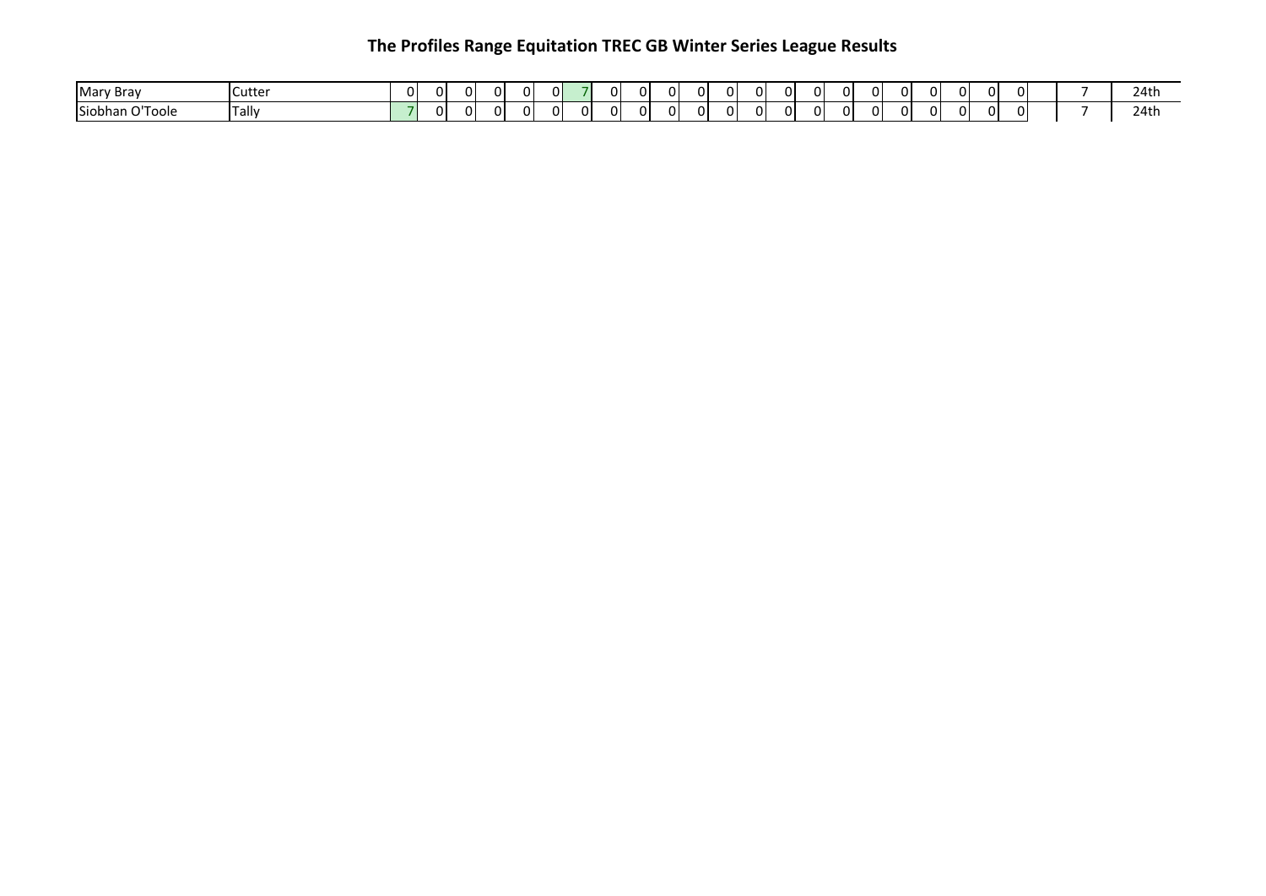| Mary<br><sup>,</sup> Brav   | Cutter | ΩI | ΩI |  | ΩL | ∩⊪ | ΩI | $\bigcap$<br>U J | 0        | ΩI | ΩI | 0 | ΩI | ΩI | ΩI | ΩI | ΩL | 0  | ΟI | ΩI |  | 24tl |
|-----------------------------|--------|----|----|--|----|----|----|------------------|----------|----|----|---|----|----|----|----|----|----|----|----|--|------|
| l Siobhan<br>$-1$<br>∶Tool∈ | fally. |    | n. |  | ΩI | าเ | ΩI | $\sqrt{2}$<br>.  | $\Omega$ | ΩI | ΩI | 0 | ΩI | ΩI | ΩI | ΩI | ΩL | ΩI | 01 | ΩI |  | 24th |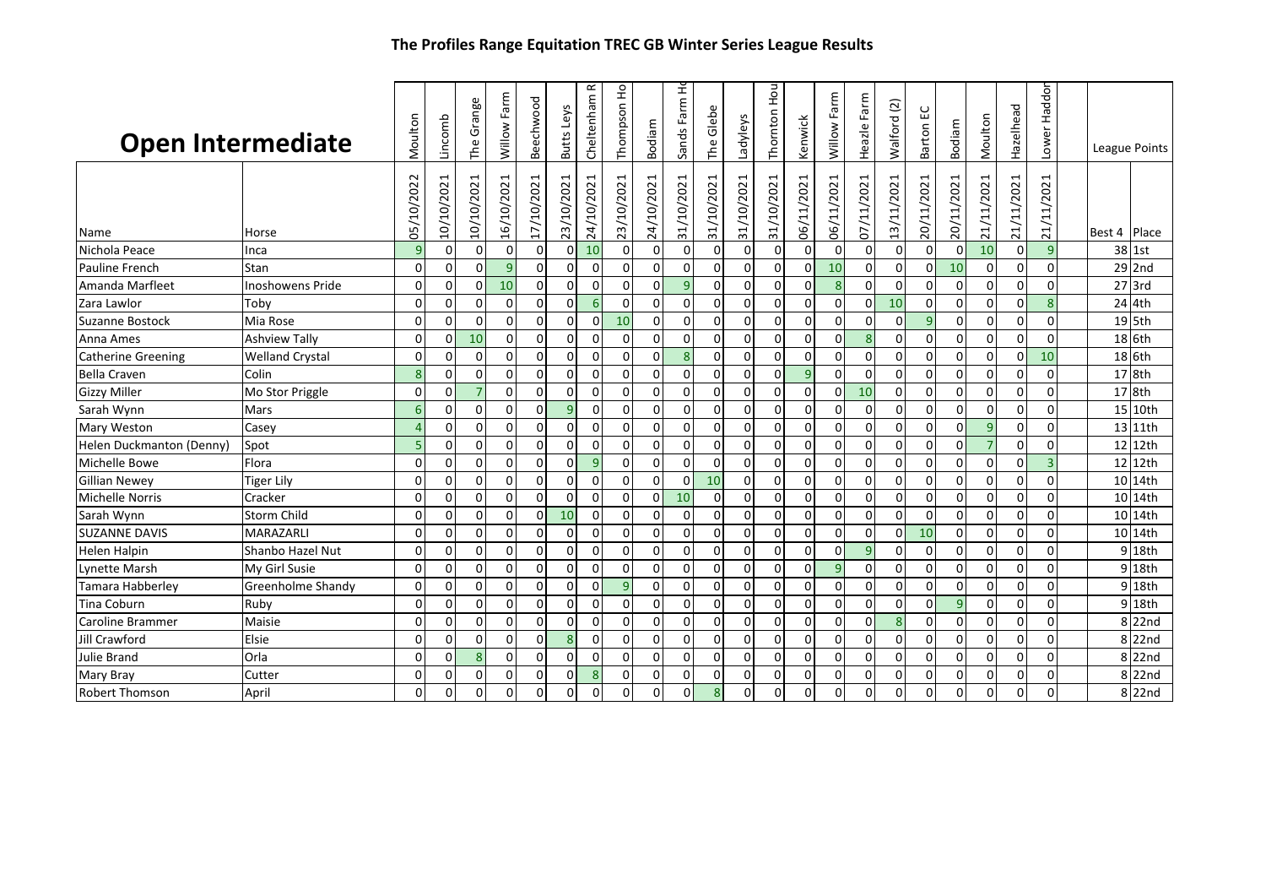| <b>Open Intermediate</b>  |                         | Moulton      | Lincomb     | Grange<br>The  | Willow Farm | Beechwood   | Butts Leys     | œ<br>Cheltenham | Thompson Ho | Bodiam      | Sands Farm H   | The Glebe      | Ladyleys   | Hou!<br>Thornton | Kenwick      | Farm<br>Willow | Farm<br>Heazle | $\overline{c}$<br>Walford      | ပ<br>Ŵ.<br>Barton | Bodiam         | Moulton        | Hazelhead      | Haddon<br>Lower | League Points |                  |
|---------------------------|-------------------------|--------------|-------------|----------------|-------------|-------------|----------------|-----------------|-------------|-------------|----------------|----------------|------------|------------------|--------------|----------------|----------------|--------------------------------|-------------------|----------------|----------------|----------------|-----------------|---------------|------------------|
| Name                      | Horse                   | 05/10/2022   | 10/10/2021  | 10/10/2021     | 16/10/2021  | 17/10/2021  | 23/10/2021     | 24/10/2021      | 23/10/2021  | 24/10/2021  | 31/10/2021     | 31/10/2021     | 31/10/2021 | 31/10/2021       | 06/11/2021   | 2021<br>06/11/ | 11/2021<br>/2  | 2021<br>$\overline{11}$<br>13/ | 2021<br>20/11/    | 20/11/2021     | 21/11/2021     | 21/11/2021     | 21/11/2021      | Best 4        | <b>IPlace</b>    |
| Nichola Peace             | Inca                    | 9            | 0           | 0              | 0           | $\mathbf 0$ | 0              | 10              | $\mathbf 0$ | $\mathbf 0$ | $\mathbf 0$    | 0              | $\Omega$   | $\Omega$         | $\Omega$     | 0              | 0              | $\mathbf 0$                    | $\mathbf 0$       | $\Omega$       | 10             | 0              | $\overline{9}$  |               | 38 1st           |
| Pauline French            | Stan                    | $\Omega$     | $\Omega$    | $\Omega$       | 9           | $\mathbf 0$ | $\Omega$       | $\mathbf 0$     | $\mathbf 0$ | $\mathbf 0$ | $\Omega$       | $\Omega$       | 0          | $\Omega$         | $\Omega$     | 10             | $\Omega$       | $\Omega$                       | $\mathbf 0$       | 10             | $\Omega$       | $\mathbf 0$    | $\overline{0}$  |               | 29 2nd           |
| Amanda Marfleet           | <b>Inoshowens Pride</b> | $\Omega$     | 0           | 0              | 10          | $\mathbf 0$ | $\Omega$       | $\mathbf 0$     | 0           | $\Omega$    | $\overline{9}$ | $\Omega$       | $\Omega$   | $\Omega$         | $\Omega$     | 8              | $\Omega$       | $\Omega$                       | $\mathbf 0$       | $\Omega$       | $\Omega$       | $\Omega$       | $\mathbf 0$     |               | $27$ 3rd         |
| Zara Lawlor               | Tobv                    | $\Omega$     | $\Omega$    | 0              | $\mathbf 0$ | $\mathbf 0$ | $\Omega$       | 6               | 0           | $\Omega$    | $\Omega$       | $\mathbf 0$    | $\Omega$   | $\Omega$         | $\Omega$     | $\Omega$       | $\Omega$       | 10                             | $\mathbf 0$       | $\Omega$       | $\Omega$       | $\Omega$       | 8               |               | 24 4th           |
| Suzanne Bostock           | Mia Rose                | $\Omega$     | $\Omega$    | $\mathbf{O}$   | $\mathbf 0$ | 0           | $\Omega$       | 0               | 10          | 0           | $\mathbf 0$    | $\mathbf 0$    | $\Omega$   | $\Omega$         | 0            | 0              | 0              | $\Omega$                       | 9                 | $\overline{0}$ | 0              | $\mathbf 0$    | $\overline{0}$  |               | 19 5th           |
| Anna Ames                 | <b>Ashview Tally</b>    | $\Omega$     | 0           | 10             | $\mathbf 0$ | $\mathbf 0$ | $\mathbf 0$    | 0               | $\mathbf 0$ | $\mathbf 0$ | $\mathbf 0$    | $\mathbf 0$    | 0          | $\Omega$         | 0            | 0              | 8              | $\mathbf 0$                    | $\mathbf 0$       | $\overline{0}$ | 0              | $\overline{0}$ | 0               |               | 18 6th           |
| <b>Catherine Greening</b> | <b>Welland Crystal</b>  | $\Omega$     | $\Omega$    | 0              | $\mathbf 0$ | $\Omega$    | $\overline{0}$ | $\mathbf 0$     | 0           | $\mathbf 0$ | 8              | $\mathbf 0$    | $\Omega$   | $\Omega$         | $\Omega$     | $\overline{0}$ | $\Omega$       | $\Omega$                       | $\mathbf 0$       | $\overline{0}$ | $\Omega$       | $\Omega$       | 10              |               | 18 6th           |
| <b>Bella Craven</b>       | Colin                   | $\mathbf{8}$ | $\Omega$    | $\Omega$       | $\mathbf 0$ | $\Omega$    | $\Omega$       | $\mathbf 0$     | 0           | $\Omega$    | $\Omega$       | $\Omega$       | $\Omega$   | $\Omega$         | 9            | 0              | 0              | $\Omega$                       | $\mathbf 0$       | $\Omega$       | $\Omega$       | $\Omega$       | $\Omega$        |               | 17 8th           |
| <b>Gizzy Miller</b>       | Mo Stor Priggle         | $\Omega$     | $\Omega$    | $\overline{7}$ | $\Omega$    | $\Omega$    | $\Omega$       | $\Omega$        | 0           | $\Omega$    | $\Omega$       | $\Omega$       | $\Omega$   | $\Omega$         | $\Omega$     | $\Omega$       | 10             | $\Omega$                       | $\mathbf 0$       | $\mathbf{0}$   | $\Omega$       | $\Omega$       | $\Omega$        |               | 17 8th           |
| Sarah Wynn                | Mars                    | 6            | $\mathbf 0$ | 0              | $\mathbf 0$ | $\Omega$    | $\overline{9}$ | $\mathbf 0$     | $\mathbf 0$ | $\mathbf 0$ | $\mathbf 0$    | $\mathbf 0$    | $\Omega$   |                  | 0            | 0              | $\mathbf 0$    | $\mathbf 0$                    | $\mathbf 0$       | $\overline{0}$ | 0              | $\overline{0}$ | 0               |               | 15 10th          |
| <b>Mary Weston</b>        | Casey                   | $\Delta$     | 0           | 0              | $\mathbf 0$ | $\mathbf 0$ | 0              | 0               | $\mathbf 0$ | $\mathbf 0$ | $\Omega$       | 0              | $\Omega$   | $\Omega$         | 0            | 0              | 0              | 0                              | 0                 | $\overline{0}$ | 9              | $\mathbf 0$    | $\mathbf 0$     |               | 13 11th          |
| Helen Duckmanton (Denny)  | Spot                    | 5            | $\mathbf 0$ | $\Omega$       | $\mathbf 0$ | $\mathbf 0$ | $\mathbf 0$    | $\mathbf 0$     | 0           | $\mathbf 0$ | $\mathbf 0$    | $\mathbf 0$    | 0          | $\Omega$         | 0            | 0              | 0              | $\mathbf 0$                    | 0                 | $\overline{0}$ | $\overline{7}$ | $\Omega$       | 0               | 12            | 12th             |
| Michelle Bowe             | Flora                   | $\Omega$     | 0           | 0              | $\mathbf 0$ | $\mathbf 0$ | $\Omega$       | $\overline{9}$  | 0           | $\mathbf 0$ | $\Omega$       | $\mathbf 0$    | $\Omega$   | O                | $\Omega$     | 0              | $\Omega$       | $\mathbf 0$                    | $\mathbf 0$       | $\overline{0}$ | 0              | $\Omega$       | 3 <sup>1</sup>  | 12            | 12th             |
| <b>Gillian Newey</b>      | <b>Tiger Lily</b>       | $\Omega$     | 0           | 0              | $\mathbf 0$ | $\Omega$    | $\mathbf 0$    | $\mathbf 0$     | 0           | $\mathbf 0$ | $\Omega$       | 10             | $\Omega$   | $\Omega$         | $\Omega$     | $\overline{0}$ | $\Omega$       | 0                              | $\mathbf 0$       | $\mathbf{0}$   | $\Omega$       | $\Omega$       | $\mathbf{0}$    |               | 10 14th          |
| <b>Michelle Norris</b>    | Cracker                 | $\Omega$     | $\Omega$    | 0              | $\mathbf 0$ | $\Omega$    | $\Omega$       | $\Omega$        | 0           | $\mathbf 0$ | 10             | $\mathbf 0$    | $\Omega$   | $\Omega$         | $\Omega$     | $\Omega$       | $\Omega$       | $\Omega$                       | $\Omega$          | $\Omega$       | $\Omega$       | $\Omega$       | $\Omega$        |               | 10 14th          |
| Sarah Wynn                | <b>Storm Child</b>      | $\Omega$     | 0           | 0              | 0           | 0           | 10             | 0               | 0           | 0           | 0              | 0              | 0          | $\Omega$         | $\mathbf{0}$ | 0              | 0              | $\mathbf 0$                    | 0                 | $\overline{0}$ | 0              | $\mathbf 0$    | $\mathbf{0}$    |               | 10 14th          |
| <b>SUZANNE DAVIS</b>      | MARAZARLI               | $\Omega$     | 0           | $\Omega$       | $\mathbf 0$ | $\mathbf 0$ | $\overline{0}$ | 0               | 0           | $\mathbf 0$ | $\mathbf 0$    | $\overline{0}$ | $\Omega$   | $\Omega$         | $\Omega$     | $\mathbf 0$    | 0              | $\Omega$                       | 10                | $\overline{0}$ | $\mathbf 0$    | 0              | $\mathbf 0$     |               | 10 14th          |
| <b>Helen Halpin</b>       | Shanbo Hazel Nut        | $\Omega$     | $\mathbf 0$ | 0              | $\mathbf 0$ | $\mathbf 0$ | $\mathbf 0$    | $\mathbf 0$     | 0           | $\mathbf 0$ | $\mathbf 0$    | $\mathbf 0$    | $\Omega$   | $\Omega$         | $\Omega$     | 0              | 9              | $\mathbf 0$                    | $\mathbf 0$       | $\overline{0}$ | $\Omega$       | 0              | $\Omega$        |               | 9 18th           |
| Lynette Marsh             | My Girl Susie           | $\Omega$     | $\Omega$    | 0              | $\mathbf 0$ | $\mathbf 0$ | $\Omega$       | $\mathbf 0$     | 0           | $\mathbf 0$ | $\mathbf 0$    | $\overline{0}$ | $\Omega$   | $\Omega$         | $\Omega$     | 9              | 0              | $\Omega$                       | $\mathbf 0$       | $\overline{0}$ | 0              | $\Omega$       | $\Omega$        |               | 9 18th           |
| <b>Tamara Habberley</b>   | Greenholme Shandy       | $\Omega$     | $\Omega$    | 0              | $\Omega$    | $\Omega$    | $\Omega$       | $\mathbf 0$     | 9           | $\Omega$    | $\Omega$       | $\Omega$       | $\Omega$   | $\Omega$         | $\Omega$     | 0              | $\Omega$       | $\Omega$                       | $\mathbf 0$       | $\Omega$       | $\Omega$       | $\Omega$       | $\Omega$        | ا 9           | 18th             |
| <b>Tina Coburn</b>        | Ruby                    | $\Omega$     | $\Omega$    | $\Omega$       | $\mathbf 0$ | $\Omega$    | $\Omega$       | $\mathbf 0$     | $\mathbf 0$ | $\mathbf 0$ | $\Omega$       | $\Omega$       | $\Omega$   | $\Omega$         | $\Omega$     | $\Omega$       | $\Omega$       | $\Omega$                       | $\Omega$          | $\overline{9}$ | $\Omega$       | $\Omega$       | $\Omega$        | ا 9           | 18th             |
| Caroline Brammer          | Maisie                  | $\Omega$     | 0           | $\mathbf 0$    | $\mathbf 0$ | $\mathbf 0$ | 0              | 0               | $\mathbf 0$ | 0           | $\mathbf 0$    | $\mathbf 0$    | $\Omega$   | $\Omega$         | $\Omega$     | 0              | 0              | 8                              | 0                 | $\overline{0}$ | $\mathbf 0$    | 0              | $\mathbf 0$     | 8             | 22nd             |
| Jill Crawford             | Elsie                   | $\Omega$     | $\Omega$    | 0              | $\Omega$    | $\Omega$    | -8             | 0               | 0           | $\Omega$    | $\Omega$       | 0              | O          |                  | $\Omega$     | 0              | 0              | $\Omega$                       | 0                 | $\Omega$       | 0              | $\Omega$       | 0               | 8             | 22nd             |
| Julie Brand               | Orla                    | $\Omega$     | 0           | 8              | $\Omega$    | $\Omega$    | 0              | 0               | 0           | $\Omega$    | $\Omega$       | $\mathbf 0$    | $\Omega$   |                  | 0            | 0              | 0              | $\Omega$                       | $\mathbf 0$       | $\overline{0}$ | $\Omega$       | $\Omega$       | $\overline{0}$  | 8             | 22nd             |
| Mary Bray                 | Cutter                  | $\Omega$     | $\mathbf 0$ | 0              | $\mathbf 0$ | $\mathbf 0$ | $\Omega$       | 8               | 0           | $\Omega$    | $\Omega$       | 0              | $\Omega$   |                  | $\Omega$     | 0              | $\Omega$       | $\mathbf 0$                    | $\mathbf 0$       | $\overline{0}$ | $\Omega$       | $\mathbf 0$    | $\mathbf{0}$    | 8             | 22 <sub>nd</sub> |
| <b>Robert Thomson</b>     | April                   | $\Omega$     | O           | $\Omega$       | $\Omega$    | $\Omega$    | $\Omega$       | $\Omega$        | $\Omega$    | $\Omega$    | $\Omega$       | 8              | $\Omega$   |                  | 0            | 0              | $\Omega$       | $\Omega$                       | $\Omega$          | $\Omega$       | $\Omega$       | $\Omega$       | $\Omega$        | 8             | 22nd             |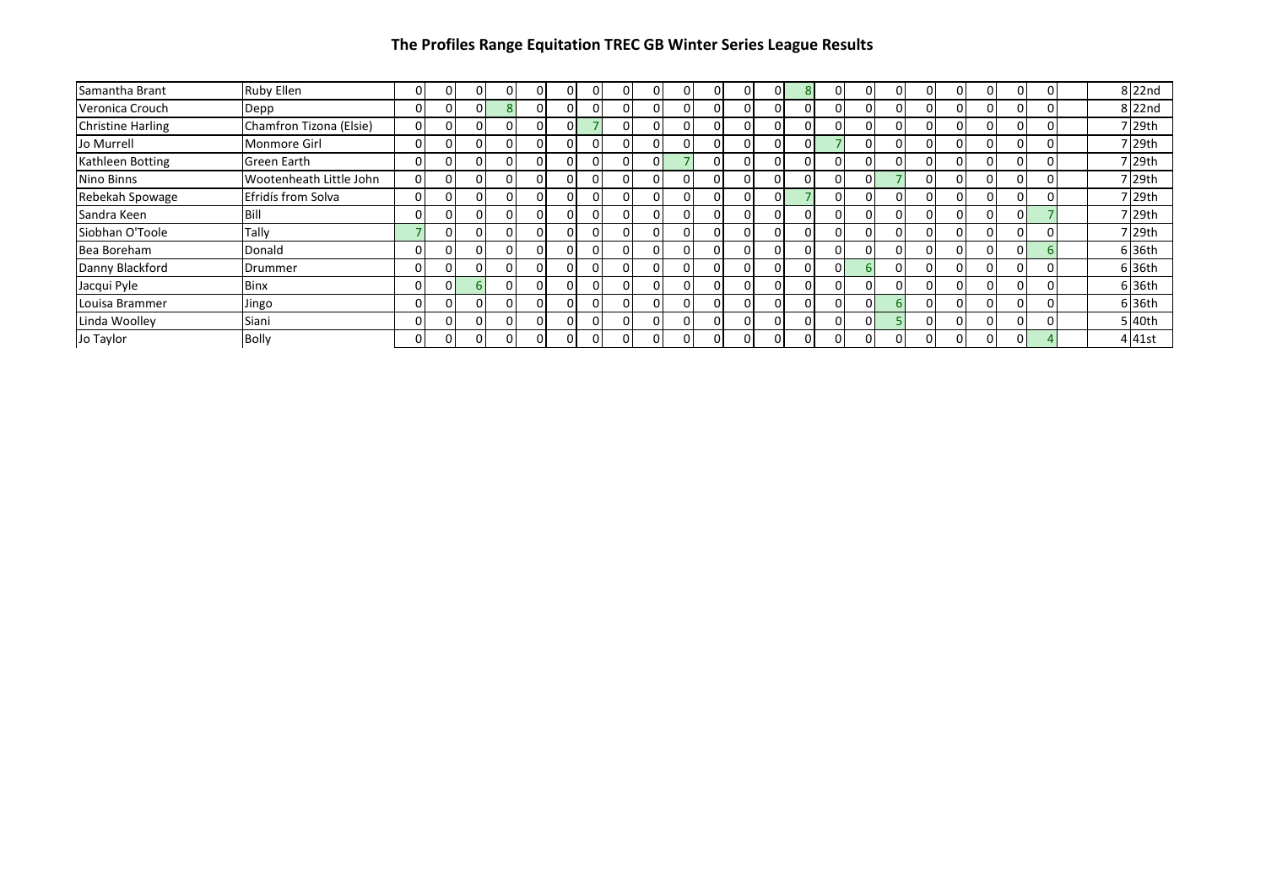| Samantha Brant           | <b>Ruby Ellen</b>       |          | 0  | $\Omega$ |          | 0 | 0 | 0        | O            | $\Omega$       | 0            | ΩL       |    | οı | O | 0 | 0 |   |          |  | $8$  22nd      |
|--------------------------|-------------------------|----------|----|----------|----------|---|---|----------|--------------|----------------|--------------|----------|----|----|---|---|---|---|----------|--|----------------|
| Veronica Crouch          | Depp                    |          | 0  | $\Omega$ |          | 0 |   | 0        |              | $\overline{0}$ | 0            | 01       |    | 01 | O | 0 | 0 | 0 | $\Omega$ |  | 8 22nd         |
| <b>Christine Harling</b> | Chamfron Tizona (Elsie) | $\Omega$ | n  | $\Omega$ |          | 0 |   | 0        |              | $\overline{0}$ |              | $\Omega$ |    | ΩI | 0 |   | 0 |   | $\Omega$ |  | 7 29th         |
| Jo Murrell               | <b>Monmore Girl</b>     | 0        | 0  | 0        | $\Omega$ | 0 | 0 | 0        |              | $\Omega$       | 0            | ΩI       | ΩI | ΩI | 0 | 0 | 0 | 0 | ΩI       |  | 7 29th         |
| Kathleen Botting         | Green Earth             | o        |    | 0        |          | 0 |   | 0        | $\Omega$     |                | O            |          |    | ΩI | 0 |   | 0 |   | $\Omega$ |  | 7 29th         |
| Nino Binns               | Wootenheath Little John | 0        | 0  | 0        | 0        | 0 |   | 0        | O            | 0              | 0            | nι       |    | ΩI |   |   | 0 | 0 | ΩI       |  | 7 29th         |
| Rebekah Spowage          | Efridís from Solva      | 0        |    | 0        |          | 0 |   | 0        |              | $\Omega$       |              | nι       |    | ΩI |   |   | 0 |   |          |  | ' 29th         |
| Sandra Keen              | Bill                    |          | o  | 0        |          | 0 | 0 | 0        |              | $\Omega$       | O            | ΩI       |    | ΩI | 0 |   | 0 |   | ΩI       |  | $\sqrt{29}$ th |
| Siobhan O'Toole          | Tally                   |          |    | 0        |          |   |   | 0        |              | $\Omega$       | ſ            | $\Omega$ |    | ΩI | ŋ |   | 0 |   |          |  | $\sqrt{29}$ th |
| Bea Boreham              | Donald                  | 0        | n  | 0        |          | 0 | 0 | 0        | O            | 0              | <sup>0</sup> | ΩI       |    | ΩI | 0 |   | 0 |   | ΟI       |  | 6 36th         |
| Danny Blackford          | Drummer                 | n        |    | $\Omega$ | O        | 0 | C | 0        | n            | ΩI             | n            | $\cap$   |    |    | 0 |   | 0 |   | ΩI       |  | 6 36th         |
| Jacqui Pyle              | <b>Binx</b>             | 0        | 01 | 6        | 0        | 0 | 0 | 0        |              | $\Omega$       | O            | ΩI       |    | ΩI | O |   | 0 |   | $\Omega$ |  | 6 36th         |
| Louisa Brammer           | Jingo                   |          |    | $\Omega$ |          | 0 |   | $\Omega$ |              | 0              | O            | ΩI       |    | nΙ |   |   | 0 |   |          |  | 6 36th         |
| Linda Woolley            | Siani                   |          | o  | $\Omega$ |          | 0 | 0 | 0        |              | $\Omega$       | <sup>0</sup> | 01       |    | ΩI |   | 0 | 0 |   | 0        |  | 5 l40th        |
| Jo Taylor                | <b>Bolly</b>            | 0        | 0  | 0        |          | 0 | 0 | 0        | <sup>0</sup> | $\overline{0}$ | 0            | ΩI       |    | nι | 0 |   | 0 |   | ΟI       |  | 4 41st         |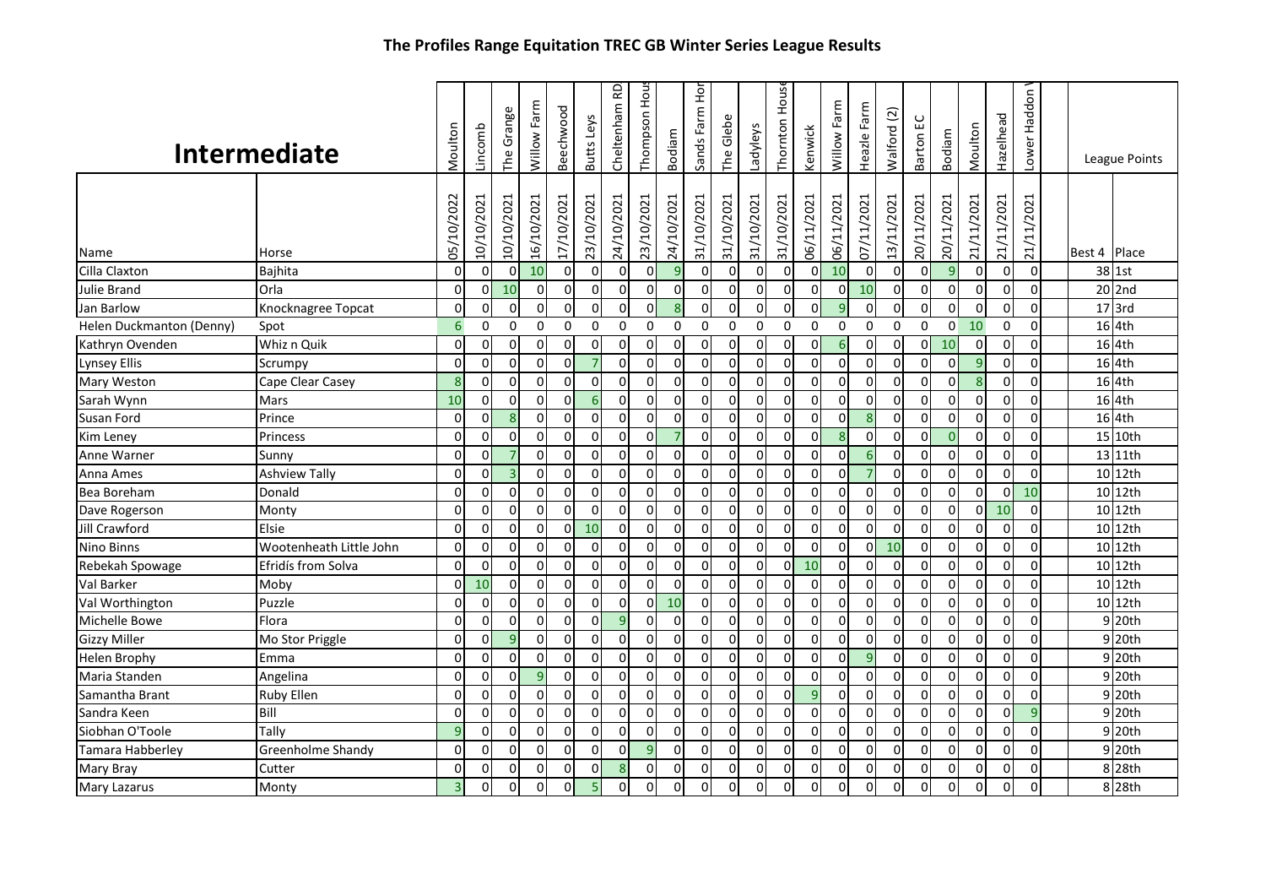|                                        | The Frontes Range Equitation TREC OD WINTER Series League Results |                 |                        |                           |                  |                              |                           |                 |                        |                            |                           |                           |                        |                           |                        |                  |                           |                           |                           |                              |                           |                 |                 |        |                 |
|----------------------------------------|-------------------------------------------------------------------|-----------------|------------------------|---------------------------|------------------|------------------------------|---------------------------|-----------------|------------------------|----------------------------|---------------------------|---------------------------|------------------------|---------------------------|------------------------|------------------|---------------------------|---------------------------|---------------------------|------------------------------|---------------------------|-----------------|-----------------|--------|-----------------|
|                                        | <b>Intermediate</b>                                               | Moulton         | Lincomb                | The Grange                | Willow Farm      | Beechwood                    | Butts Leys                | Cheltenham RD   | Thompson Hou           | Bodiam                     | Sands Farm Hor            | The Glebe                 | Ladyleys               | House<br>Thornton         | Kenwick                | Willow Farm      | Heazle Farm               | Walford (2)               | Barton EC                 | Bodiam                       | Moulton                   | Hazelhead       | Haddon<br>Lower |        | League Points   |
| Name                                   | Horse                                                             | 05/10/2022<br>0 | 10/10/2021<br>$\Omega$ | 10/10/2021<br>$\mathbf 0$ | 16/10/2021<br>10 | 17/10/2021<br>$\overline{0}$ | 23/10/2021<br>$\mathbf 0$ | 24/10/2021<br>0 | 23/10/2021<br>$\Omega$ | 24/10/2021<br>$\mathbf{q}$ | 31/10/2021<br>$\mathbf 0$ | 31/10/2021<br>$\mathbf 0$ | 31/10/2021<br>$\Omega$ | 31/10/2021<br>$\mathbf 0$ | 06/11/2021<br>$\Omega$ | 06/11/2021<br>10 | 07/11/2021<br>$\mathbf 0$ | 13/11/2021<br>$\mathbf 0$ | 20/11/2021<br>$\mathbf 0$ | 20/11/2021<br>$\overline{9}$ | 21/11/2021<br>$\mathbf 0$ | 21/11/2021<br>0 | 21/11/2021<br>0 | Best 4 | Place<br>38 1st |
| Cilla Claxton                          | <b>Bajhita</b>                                                    | $\Omega$        | $\Omega$               | 10                        | $\overline{0}$   | $\overline{0}$               | $\mathbf 0$               | $\mathbf 0$     | $\overline{0}$         | $\overline{0}$             | $\mathbf 0$               | $\mathbf 0$               | $\Omega$               | $\pmb{0}$                 | $\overline{0}$         | $\overline{0}$   | 10                        | $\mathbf 0$               | $\mathbf 0$               | $\mathbf 0$                  | $\overline{0}$            | 0               | $\Omega$        |        | $20$ 2nd        |
| Julie Brand                            | Orla                                                              | $\Omega$        | $\Omega$               | $\Omega$                  | $\Omega$         | $\Omega$                     | $\Omega$                  | $\Omega$        | ΩI                     | $\overline{8}$             | $\Omega$                  | $\Omega$                  | $\Omega$               | $\Omega$                  | $\Omega$               | q                | $\Omega$                  | $\Omega$                  | $\mathbf{0}$              | $\Omega$                     | $\Omega$                  | $\Omega$        | $\Omega$        |        | $17$ 3rd        |
| Jan Barlow<br>Helen Duckmanton (Denny) | Knocknagree Topcat<br>Spot                                        | $6\overline{6}$ | $\Omega$               | $\Omega$                  | $\mathbf{0}$     | $\Omega$                     | $\mathbf{0}$              | $\Omega$        | $\Omega$               | $\mathbf{0}$               | $\Omega$                  | $\mathbf{0}$              | $\Omega$               | $\mathbf{0}$              | $\Omega$               | $\mathbf{0}$     | $\Omega$                  | $\Omega$                  | $\mathbf{0}$              | $\Omega$                     | 10                        | $\Omega$        | $\Omega$        |        | 16 4th          |
| Kathryn Ovenden                        | Whiz n Quik                                                       | $\Omega$        | $\Omega$               | $\Omega$                  | $\mathbf 0$      | $\Omega$                     | $\mathbf 0$               | 0               | $\Omega$               | $\Omega$                   | $\mathbf 0$               | $\mathbf 0$               | $\mathbf 0$            | $\mathbf 0$               | $\mathbf 0$            | 6 <sup>1</sup>   | $\Omega$                  | $\mathbf 0$               | $\mathbf 0$               | 10                           | $\mathbf 0$               | 0               | $\Omega$        |        | 16 4th          |
| <b>Lynsey Ellis</b>                    | Scrumpy                                                           | $\Omega$        | $\Omega$               | $\Omega$                  | 0                | $\Omega$                     |                           | 0               | ΩI                     | $\Omega$                   | $\Omega$                  | $\mathbf 0$               | $\Omega$               | $\mathbf 0$               | $\Omega$               | $\Omega$         | $\Omega$                  | $\Omega$                  | $\Omega$                  | $\Omega$                     | $\overline{9}$            | $\Omega$        | $\Omega$        |        | 16 4th          |
| Mary Weston                            | Cape Clear Casey                                                  | 8               | $\Omega$               | $\Omega$                  | $\overline{0}$   | $\Omega$                     | $\Omega$                  | $\Omega$        | $\Omega$               | $\Omega$                   | $\Omega$                  | $\Omega$                  | $\Omega$               | $\Omega$                  | $\Omega$               | $\Omega$         | $\Omega$                  | $\Omega$                  | $\Omega$                  | $\Omega$                     | $\overline{8}$            | $\Omega$        | $\Omega$        |        | 16 4th          |
| Sarah Wynn                             | Mars                                                              | 10              | $\Omega$               | 0                         | $\overline{0}$   | $\overline{0}$               | 6                         | 0               | $\overline{0}$         | $\mathbf 0$                | $\mathbf 0$               | $\mathbf 0$               | $\Omega$               | $\mathbf 0$               | $\Omega$               | $\Omega$         | $\Omega$                  | $\mathbf 0$               | $\mathbf 0$               | $\mathbf 0$                  | $\mathbf 0$               | 0               | $\overline{0}$  |        | 16 4th          |
| Susan Ford                             | Prince                                                            | $\Omega$        | 0                      | 8                         | $\mathbf 0$      | $\Omega$                     | $\mathbf 0$               | $\mathbf 0$     | $\Omega$               | $\Omega$                   | $\mathbf 0$               | $\mathbf 0$               | $\Omega$               | $\mathbf 0$               | $\mathbf 0$            | $\Omega$         | 8                         | $\mathbf 0$               | $\mathbf 0$               | 0                            | $\mathbf 0$               | $\Omega$        | $\Omega$        |        | 16 4th          |
| Kim Leney                              | <b>Princess</b>                                                   | $\Omega$        | $\Omega$               | $\mathbf{0}$              | $\Omega$         | $\Omega$                     | $\Omega$                  | $\Omega$        | $\Omega$               | $\overline{7}$             | $\Omega$                  | $\Omega$                  | $\Omega$               | $\Omega$                  | $\Omega$               | 8                | $\Omega$                  | $\Omega$                  | $\Omega$                  | $\Omega$                     | $\mathbf 0$               | $\overline{0}$  | $\Omega$        |        | 15 10th         |
| Anne Warner                            | Sunny                                                             | $\overline{0}$  | 0                      | $\overline{7}$            | $\overline{0}$   | $\mathbf 0$                  | $\mathbf 0$               | $\mathbf 0$     | $\Omega$               | $\mathbf 0$                | $\mathbf 0$               | $\mathbf 0$               | $\Omega$               | $\mathbf 0$               | $\overline{0}$         | $\Omega$         | 6                         | $\mathbf 0$               | $\mathbf 0$               | $\mathbf 0$                  | $\mathbf 0$               | 0               | $\overline{0}$  |        | 13 11th         |
| Anna Ames                              | <b>Ashview Tally</b>                                              | $\Omega$        | 0                      | $\overline{3}$            | $\mathbf 0$      | $\Omega$                     | $\mathbf 0$               | 0               | $\Omega$               | $\Omega$                   | $\Omega$                  | $\Omega$                  | $\Omega$               | $\mathbf 0$               | $\Omega$               | $\Omega$         |                           | $\mathbf 0$               | $\mathbf 0$               | 0                            | $\mathbf 0$               | $\Omega$        | $\Omega$        |        | 10 12th         |
| Bea Boreham                            | Donald                                                            | $\Omega$        | $\Omega$               | $\mathbf 0$               | $\overline{0}$   | $\Omega$                     | $\Omega$                  | $\Omega$        | οI                     | $\Omega$                   | $\Omega$                  | $\Omega$                  | $\Omega$               | $\Omega$                  | $\Omega$               | οI               | $\Omega$                  | $\Omega$                  | $\Omega$                  | $\Omega$                     | $\Omega$                  | $\Omega$        | 10              |        | 10 12th         |
| Dave Rogerson                          | Monty                                                             | $\Omega$        | $\Omega$               | $\Omega$                  | $\overline{0}$   | $\Omega$                     | $\mathbf 0$               | $\Omega$        | $\Omega$               | $\Omega$                   | $\Omega$                  | $\Omega$                  | $\Omega$               | $\mathbf 0$               | $\Omega$               | $\Omega$         | $\Omega$                  | $\Omega$                  | $\mathbf 0$               | $\Omega$                     | $\overline{0}$            | 10              | $\Omega$        |        | 10 12th         |
| Jill Crawford                          | Elsie                                                             | 0               | $\Omega$               | 0                         | $\mathbf 0$      | $\Omega$                     | 10                        | 0               | $\Omega$               | $\mathbf 0$                | $\mathbf 0$               | $\mathbf 0$               | 0                      | $\mathbf 0$               | $\mathbf 0$            | $\Omega$         | $\mathbf 0$               | $\mathbf 0$               | 0                         | 0                            | $\mathbf 0$               | 0               | $\overline{0}$  |        | 10 12th         |
| Nino Binns                             | Wootenheath Little John                                           | $\Omega$        | $\Omega$               | $\Omega$                  | $\Omega$         | $\Omega$                     | $\mathbf 0$               | 0               | $\Omega$               | $\Omega$                   | $\mathbf 0$               | $\mathbf 0$               | $\Omega$               | $\Omega$                  | $\overline{0}$         | $\Omega$         | $\Omega$                  | 10                        | $\mathbf 0$               | $\Omega$                     | $\mathsf 0$               | 0               | $\Omega$        |        | 10 12th         |
| Rebekah Spowage                        | Efridís from Solva                                                | $\Omega$        | $\Omega$               | $\Omega$                  | $\overline{0}$   | $\Omega$                     | $\mathbf 0$               | $\Omega$        | $\Omega$               | $\Omega$                   | $\Omega$                  | $\mathbf 0$               | $\Omega$               | $\mathbf 0$               | 10                     | $\Omega$         | $\Omega$                  | $\Omega$                  | $\mathbf 0$               | $\Omega$                     | $\Omega$                  | $\Omega$        | $\Omega$        |        | 10 12th         |
| Val Barker                             | Moby                                                              | $\Omega$        | 10                     | 0                         | 0                | 0                            | $\mathbf 0$               | 0               | οI                     | $\Omega$                   | $\mathbf 0$               | $\mathbf 0$               | 0                      | $\mathbf 0$               | $\mathbf{O}$           | $\Omega$         | $\Omega$                  | $\mathbf 0$               | 0                         | 0                            | $\mathbf 0$               | 0               | $\Omega$        |        | 10 12th         |
| Val Worthington                        | Puzzle                                                            | $\Omega$        | $\Omega$               | $\mathbf 0$               | $\Omega$         | $\Omega$                     | $\mathbf 0$               | $\mathbf 0$     | οI                     | 10                         | $\mathbf 0$               | $\mathbf 0$               | $\Omega$               | $\Omega$                  | $\mathbf 0$            | 0l               | $\Omega$                  | $\Omega$                  | $\mathbf 0$               | $\Omega$                     | $\mathbf 0$               | 0               | $\Omega$        |        | 10 12th         |
| Michelle Bowe                          | Flora                                                             | $\Omega$        | $\mathbf{0}$           | $\Omega$                  | 0                | $\Omega$                     | $\mathbf 0$               | $\overline{9}$  | $\Omega$               | $\Omega$                   | $\Omega$                  | $\mathbf 0$               | $\Omega$               | $\mathbf 0$               | $\Omega$               | $\Omega$         | $\Omega$                  | $\Omega$                  | $\mathbf 0$               | $\Omega$                     | $\mathbf 0$               | $\Omega$        | $\Omega$        |        | 9 20th          |
| <b>Gizzy Miller</b>                    | Mo Stor Priggle                                                   | 0               | $\Omega$               | 9                         | $\pmb{0}$        | 0                            | $\mathbf 0$               | 0               | $\overline{0}$         | $\mathbf 0$                | $\mathbf 0$               | $\mathbf 0$               | 0                      | 0                         | $\mathbf{O}$           | $\Omega$         | $\mathbf 0$               | $\mathbf 0$               | 0                         | 0                            | $\pmb{0}$                 | 0               | $\overline{0}$  |        | 9 20th          |
| Helen Brophy                           | Emma                                                              | $\Omega$        | 0                      | $\mathbf 0$               | $\Omega$         | $\Omega$                     | $\mathbf 0$               | $\mathsf 0$     | $\Omega$               | $\mathbf 0$                | $\mathbf 0$               | $\mathbf 0$               | $\Omega$               | $\mathbf 0$               | $\overline{0}$         | $\Omega$         | $\overline{9}$            | $\mathbf 0$               | $\mathbf 0$               | $\Omega$                     | $\mathbf 0$               | 0               | $\Omega$        |        | 9 20th          |
| Maria Standen                          | Angelina                                                          | $\Omega$        | $\Omega$               | $\Omega$                  | $\overline{9}$   | $\Omega$                     | $\mathbf 0$               | $\Omega$        | $\Omega$               | $\Omega$                   | $\Omega$                  | $\mathbf 0$               | $\Omega$               | $\Omega$                  | $\Omega$               | $\Omega$         | $\Omega$                  | $\mathbf 0$               | $\mathbf 0$               | $\Omega$                     | $\mathbf 0$               | $\Omega$        | $\Omega$        |        | 9 20th          |
| Samantha Brant                         | <b>Ruby Ellen</b>                                                 | $\overline{0}$  | $\Omega$               | 0                         | 0                | 0                            | $\mathbf 0$               | 0               | $\Omega$               | $\Omega$                   | $\mathbf 0$               | 0                         | 0                      | $\mathbf 0$               | $\overline{9}$         | $\Omega$         | $\Omega$                  | $\mathbf 0$               | 0                         | 0                            | $\mathbf 0$               | 0               | $\Omega$        |        | 9 20th          |
| Sandra Keen                            | Bill                                                              | $\overline{0}$  | 0                      | $\mathbf 0$               | $\overline{0}$   | $\Omega$                     | $\mathbf 0$               | 0               | οI                     | $\Omega$                   | $\mathbf 0$               | $\mathbf 0$               | $\Omega$               | $\mathbf 0$               | $\mathbf{O}$           | $\overline{0}$   | $\Omega$                  | $\mathbf 0$               | $\mathbf 0$               | 0                            | $\mathbf 0$               | 0               | $\overline{9}$  |        | 9 20th          |
| Siobhan O'Toole                        | Tally                                                             | $\overline{9}$  | $\Omega$               | $\Omega$                  | $\overline{0}$   | $\Omega$                     | $\mathbf 0$               | $\Omega$        | $\Omega$               | $\Omega$                   | $\Omega$                  | $\mathbf 0$               | $\Omega$               | $\mathbf 0$               | $\mathbf 0$            | $\Omega$         | $\Omega$                  | $\Omega$                  | $\mathbf 0$               | $\Omega$                     | $\mathbf 0$               | 0               | $\Omega$        |        | 9 20th          |
| Tamara Habberley                       | Greenholme Shandy                                                 | $\Omega$        | $\Omega$               | $\mathbf 0$               | 0                | $\Omega$                     | $\Omega$                  | $\Omega$        | 9                      | $\Omega$                   | $\mathbf 0$               | $\Omega$                  | $\Omega$               | $\Omega$                  | $\Omega$               | $\Omega$         | $\Omega$                  | $\mathbf 0$               | 0                         | $\Omega$                     | $\mathbf 0$               | $\Omega$        | $\Omega$        |        | 9 20th          |
| Mary Bray                              | Cutter                                                            | $\overline{0}$  | 0                      | $\mathbf 0$               | 0                | $\Omega$                     | $\mathbf 0$               | 8               | $\Omega$               | $\mathbf{0}$               | $\mathbf 0$               | $\Omega$                  | 0                      | $\mathbf 0$               | $\mathbf 0$            | οI               | $\Omega$                  | $\mathbf 0$               | 0                         | $\Omega$                     | $\mathbf 0$               | 0               | 0               |        | 8 28th          |
| <b>Mary Lazarus</b>                    | Monty                                                             | $\overline{3}$  | 0                      | $\mathbf 0$               | $\Omega$         | $\Omega$                     | 5                         | $\Omega$        | $\Omega$               | $\Omega$                   | $\Omega$                  | $\Omega$                  | $\Omega$               | $\Omega$                  | $\Omega$               | $\Omega$         | $\Omega$                  | $\Omega$                  | $\mathbf 0$               | $\Omega$                     | $\Omega$                  | $\overline{0}$  | $\Omega$        |        | 8 28th          |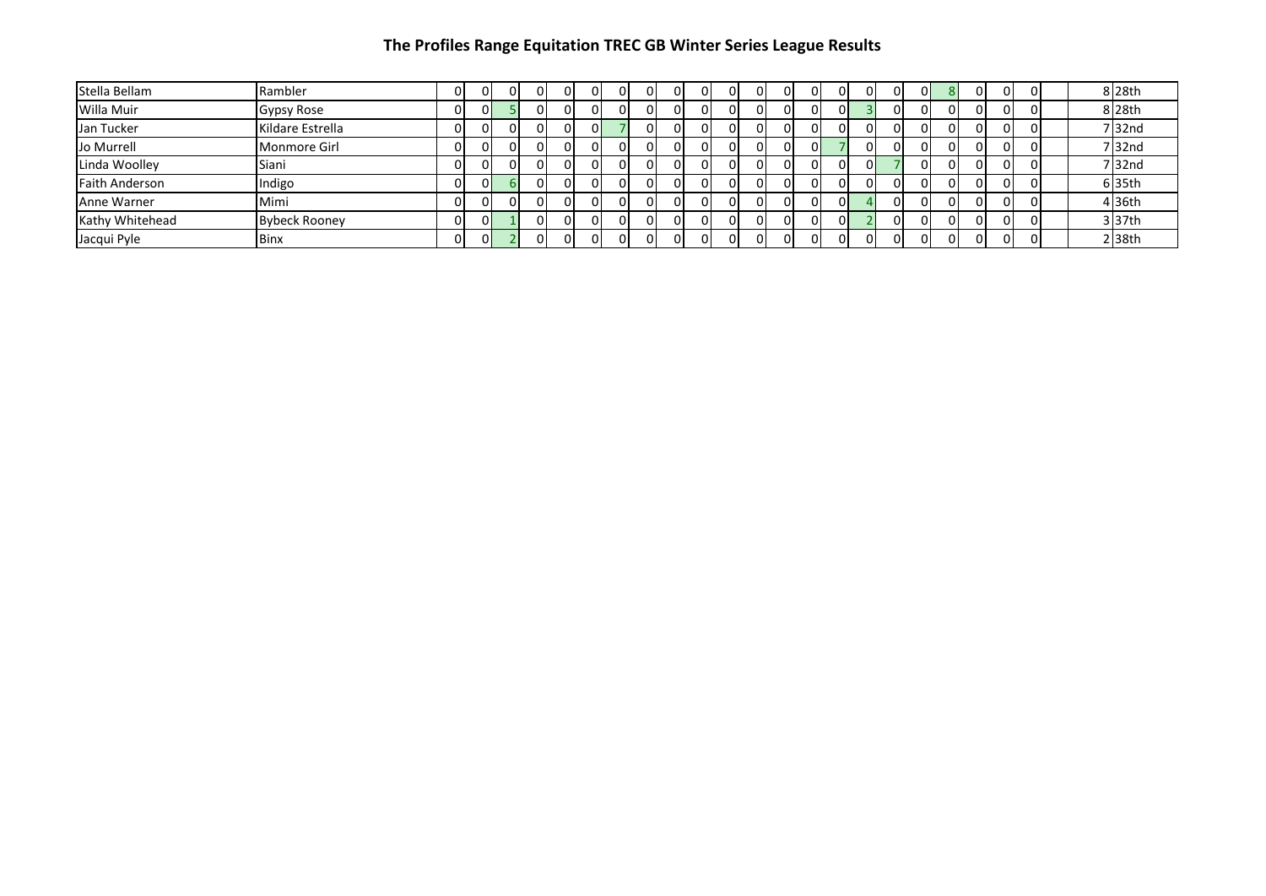| Stella Bellam         | Rambler              |    | οι | 0  | 01       | ΩI | ΩI       | $\Omega$ | ΟI | ΟI |    | OI | $\Omega$ | ΟI | ΟI | ΩI |          | ΩI | ΟI       | 01       |  | 8 28th    |
|-----------------------|----------------------|----|----|----|----------|----|----------|----------|----|----|----|----|----------|----|----|----|----------|----|----------|----------|--|-----------|
| Willa Muir            | Gypsy Rose           |    | ΩI |    | ΩI       |    |          |          |    | ΩI |    |    |          | Οl | n. |    |          |    | $\Omega$ | 01       |  | 8 28th    |
| Jan Tucker            | Kildare Estrella     |    | ΩI |    | ΩL       |    | ΩL       |          |    | ΩI |    |    |          | 0  |    | ΩI |          |    | $\Omega$ | 01       |  | $7$ 32nd  |
| Jo Murrell            | Monmore Girl         |    | ΩI |    | 01       |    |          | $\Omega$ | ΩI | ΟI |    |    | ΩI       | ΟI |    | ΩI |          |    | ΩI       | $\Omega$ |  | $7$ 32nd  |
| Linda Woolley         | Siani                |    | ΟI | 0  | ΩI       |    |          | $\Omega$ | ΩI | ΩI |    |    | $\Omega$ | ΟI |    | ΩI |          |    | $\Omega$ | 01       |  | $7$  32nd |
| <b>Faith Anderson</b> | Indigo               |    | ΩI |    | ΩI       |    |          |          | ΩI | ΩI |    |    |          | ΩI |    | ΩL |          |    | $\Omega$ | 01       |  | 6 35th    |
| Anne Warner           | Mimi                 |    | ΩI | ΩI | $\Omega$ |    |          | ΟI       | ΩI | ΩI |    |    | ΩI       | ΩI | ΟI |    | $\Omega$ |    | $\Omega$ | ΩI       |  | 4 36th    |
| Kathy Whitehead       | <b>Bybeck Rooney</b> |    | OΙ |    | ΩI       |    |          | 0        |    | ΩI |    |    |          | ΟI | n. |    |          |    |          | 01       |  | $3$ 37th  |
| Jacqui Pyle           | Binx                 | OΙ | ΩL |    | ΩI       |    | $\Omega$ | ΟI       | 01 | ΩI | ΩI | ΩI | $\Omega$ | ΩI | ΩI | ΩI |          | ΩI | $\Omega$ | 01       |  | $2$ 38th  |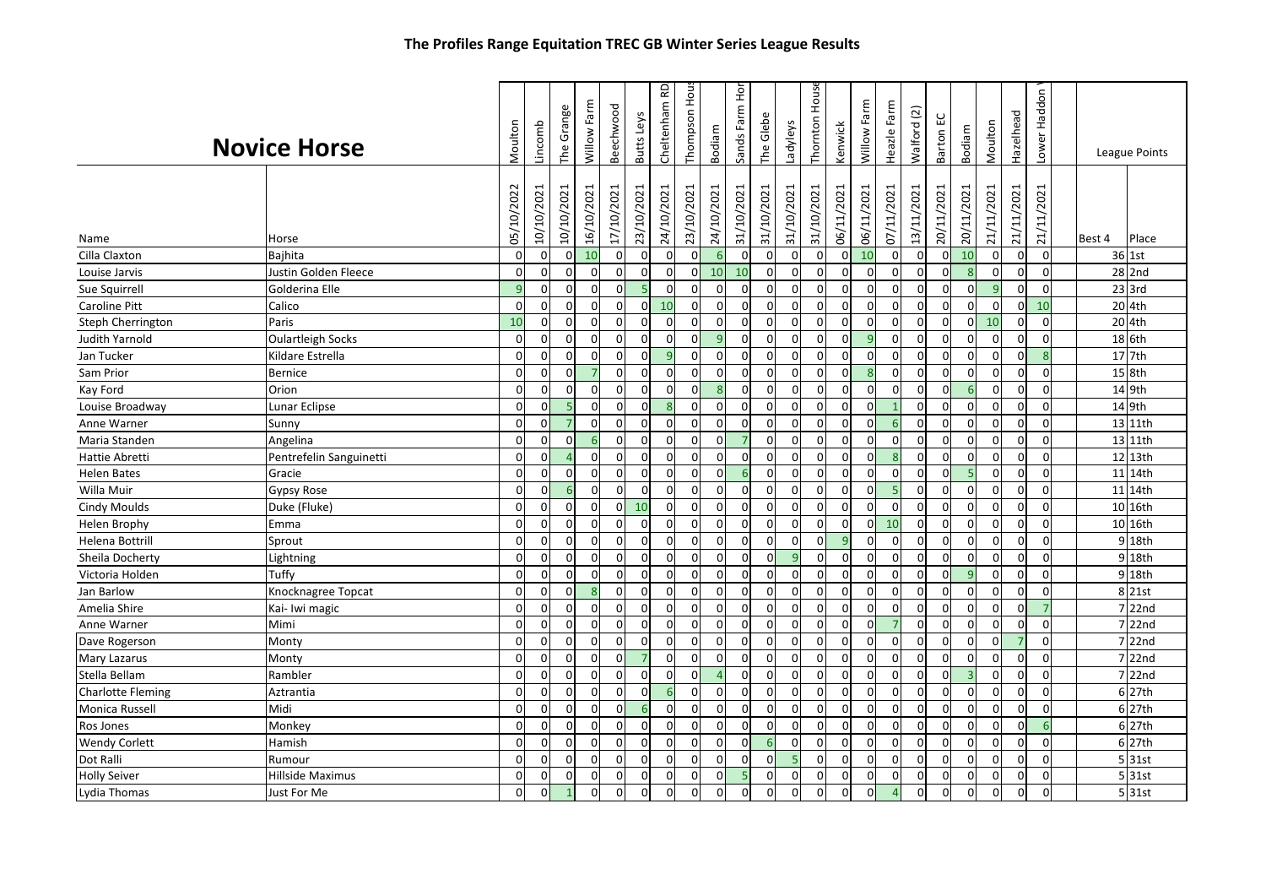|                          | <b>Novice Horse</b>      | Moulton    | Lincomb                | The Grange                     | Willow Farm      | Beechwood                 | Butts Leys                | 요<br>Cheltenham           | Thompson Hou              | Bodiam          | Sands Farm Hor            | The Glebe              | Ladyleys                     | House<br>Thornton | Kenwick                | Willow Farm      | Heazle Farm               | $\boxed{2}$<br>Walford | ပူ<br>Barton              | Bodiam           | Moulton                | Hazelhead                 | Lower Haddon           |        | League Points   |
|--------------------------|--------------------------|------------|------------------------|--------------------------------|------------------|---------------------------|---------------------------|---------------------------|---------------------------|-----------------|---------------------------|------------------------|------------------------------|-------------------|------------------------|------------------|---------------------------|------------------------|---------------------------|------------------|------------------------|---------------------------|------------------------|--------|-----------------|
| Name<br>Cilla Claxton    | Horse<br>Bajhita         | 05/10/2022 | 10/10/2021<br>$\Omega$ | 10/10/2021<br>0<br>$\mathbf 0$ | 16/10/2021<br>10 | 17/10/2021<br>$\mathbf 0$ | 23/10/2021<br>$\mathbf 0$ | 24/10/2021<br>$\mathbf 0$ | 23/10/2021<br>$\mathbf 0$ | 24/10/2021<br>6 | 31/10/2021<br>$\mathbf 0$ | 31/10/2021<br>$\Omega$ | 31/10/2021<br>$\overline{0}$ | 31/10/2021<br>0   | 06/11/2021<br>$\Omega$ | 06/11/2021<br>10 | 07/11/2021<br>$\mathbf 0$ | 13/11/2021<br>$\Omega$ | 20/11/2021<br>$\mathbf 0$ | 20/11/2021<br>10 | 21/11/2021<br>$\Omega$ | 21/11/2021<br>$\mathbf 0$ | 21/11/2021<br>$\Omega$ | Best 4 | Place<br>36 1st |
| Louise Jarvis            | Justin Golden Fleece     |            | $\overline{0}$         | $\mathbf 0$<br>$\overline{0}$  | $\mathbf 0$      | $\mathbf 0$               | $\mathbf 0$               | $\overline{0}$            | $\mathbf 0$               | 10              | 10                        | 0                      | $\overline{0}$               | 0                 | $\Omega$               | $\mathbf 0$      | $\mathbf 0$               | $\Omega$               | $\mathbf 0$               | 8                | $\Omega$               | $\mathbf 0$               | $\mathbf 0$            |        | 28 2nd          |
| Sue Squirrell            | Golderina Elle           |            | $\mathbf{q}$           | $\mathbf 0$<br>$\overline{0}$  | $\Omega$         | $\mathbf 0$               | $\overline{\phantom{a}}$  | $\mathbf{0}$              | $\Omega$                  | $\Omega$        | $\mathbf 0$               | $\Omega$               | $\overline{0}$               | 0                 | $\Omega$               | $\mathbf 0$      | $\Omega$                  |                        | $\Omega$                  | $\Omega$         | q                      | $\mathbf 0$               | $\Omega$               |        | $23$ 3rd        |
| <b>Caroline Pitt</b>     | Calico                   | $\Omega$   |                        | $\mathbf 0$<br>$\mathbf 0$     | $\Omega$         | $\mathbf 0$               | 0                         | 10                        | $\mathbf 0$               | $\Omega$        | $\mathbf 0$               | $\Omega$               | $\overline{0}$               | 0                 | $\Omega$               | $\mathbf 0$      | $\Omega$                  |                        | $\mathbf 0$               | $\Omega$         | $\Omega$               | $\mathbf 0$               | 10                     |        | 20 4th          |
| Steph Cherrington        | Paris                    | 10         |                        | $\mathbf 0$<br>$\mathbf 0$     | $\mathbf 0$      | $\mathbf 0$               | $\mathbf 0$               | $\overline{0}$            | $\mathbf 0$               | 0               | $\mathbf 0$               | 0                      | $\overline{0}$               | 0                 | 0                      | $\mathbf 0$      | $\mathbf 0$               | 0                      | $\mathbf 0$               | $\mathbf{0}$     | 10                     | $\mathbf 0$               | $\mathbf 0$            |        | 20 4th          |
| Judith Yarnold           | <b>Oulartleigh Socks</b> |            | $\Omega$               | $\mathsf 0$<br>$\mathbf 0$     | $\Omega$         | $\mathbf 0$               | $\Omega$                  | $\overline{0}$            | $\mathbf 0$               | $\mathbf{q}$    | $\mathbf 0$               | $\Omega$               | $\overline{0}$               | 0                 | $\Omega$               | $\overline{9}$   | $\mathbf 0$               |                        | $\mathbf 0$               | $\Omega$         | $\Omega$               | $\mathbf 0$               | $\Omega$               |        | 18 6th          |
| Jan Tucker               | Kildare Estrella         |            | $\Omega$               | 0<br>$\mathbf 0$               | $\Omega$         | $\mathbf 0$               | $\Omega$                  | 9                         | $\mathbf 0$               | $\Omega$        | $\mathbf 0$               | $\Omega$               | $\Omega$                     | $\Omega$          |                        | $\mathbf 0$      | $\Omega$                  |                        | 0                         | $\Omega$         | U                      | $\Omega$                  |                        |        | 17 7th          |
| Sam Prior                | <b>Bernice</b>           |            | $\Omega$               | $\mathbf 0$<br>$\mathbf 0$     | 7                | $\mathbf 0$               | $\mathbf 0$               | $\mathbf{0}$              | $\mathbf 0$               | $\Omega$        | $\mathbf 0$               | $\Omega$               | $\overline{0}$               | 0                 | $\Omega$               | 8                | $\mathbf 0$               | $\Omega$               | $\mathbf 0$               | $\Omega$         | $\Omega$               | $\mathbf 0$               | $\Omega$               |        | 15 8th          |
| Kay Ford                 | Orion                    |            | $\Omega$               | $\mathbf 0$<br>$\mathbf 0$     | $\Omega$         | $\mathbf 0$               | $\Omega$                  | $\overline{0}$            | $\mathbf 0$               | 8               | $\mathbf 0$               | $\Omega$               | $\overline{0}$               | 0                 |                        | $\Omega$         | $\Omega$                  |                        | $\mathbf 0$               | 6                | O                      | $\mathbf 0$               | $\Omega$               |        | $14$ 9th        |
| Louise Broadway          | Lunar Eclipse            |            | $\Omega$               | 0<br>5                         | $\Omega$         | $\Omega$                  | $\Omega$                  | 8                         | $\mathbf 0$               | $\Omega$        | $\mathbf 0$               | $\Omega$               | $\mathbf 0$                  | 0                 | $\Omega$               | $\Omega$         |                           |                        | 0                         | $\Omega$         | $\Omega$               | $\Omega$                  | O                      |        | 14 9th          |
| Anne Warner              | Sunny                    |            | $\Omega$               | $\overline{7}$<br>$\mathbf 0$  | $\overline{0}$   | $\mathbf 0$               | $\mathbf 0$               | $\overline{0}$            | $\mathbf 0$               | $\Omega$        | $\mathbf 0$               | $\mathbf 0$            | $\overline{0}$               | 0                 | $\Omega$               | $\Omega$         | 6                         | 0                      | $\mathbf 0$               | $\Omega$         | $\Omega$               | $\mathbf 0$               | $\Omega$               |        | 13 11th         |
| Maria Standen            | Angelina                 |            | $\Omega$               | $\mathbf 0$<br>$\mathbf 0$     | 6                | $\mathbf 0$               | $\mathbf 0$               | $\mathbf 0$               | $\mathbf 0$               | $\Omega$        | $\overline{7}$            | $\Omega$               | $\overline{0}$               | 0                 |                        | $\mathbf 0$      | $\Omega$                  |                        | 0                         | $\Omega$         | U                      | $\Omega$                  | $\Omega$               |        | 13 11th         |
| <b>Hattie Abretti</b>    | Pentrefelin Sanguinetti  |            | $\Omega$               | 0<br>$\overline{a}$            | $\Omega$         | $\mathbf 0$               | 0                         | $\mathbf{0}$              | $\mathbf 0$               | $\Omega$        | $\mathbf 0$               | $\Omega$               | $\mathbf 0$                  | 0                 | O                      | $\Omega$         | 8                         |                        | $\mathbf 0$               | $\Omega$         | <sup>0</sup>           | $\mathbf 0$               | $\Omega$               |        | 12 13th         |
| <b>Helen Bates</b>       | Gracie                   |            | $\Omega$               | $\overline{0}$<br>$\mathbf 0$  | $\overline{0}$   | $\mathbf 0$               | $\overline{0}$            | $\mathbf{0}$              | $\mathbf 0$               | $\Omega$        | 6                         | $\mathbf 0$            | $\overline{0}$               | 0                 | $\Omega$               | $\mathbf 0$      | $\mathbf 0$               | $\Omega$               | $\mathbf 0$               | 5                | $\Omega$               | $\mathbf 0$               | $\Omega$               |        | 11 14th         |
| Willa Muir               | <b>Gypsy Rose</b>        |            | $\Omega$               | $\mathbf 0$<br>6               | $\Omega$         | $\Omega$                  | $\mathbf 0$               | $\Omega$                  | $\Omega$                  | ∩               | $\mathbf 0$               | $\Omega$               | $\overline{0}$               | $\mathbf 0$       | $\mathbf{0}$           | $\mathbf 0$      | 5                         | $\Omega$               | $\mathbf 0$               | $\Omega$         | $\Omega$               | $\Omega$                  | $\Omega$               |        | 11 14th         |
| <b>Cindy Moulds</b>      | Duke (Fluke)             |            | $\Omega$               | 0<br>$\mathbf 0$               | $\Omega$         | $\mathbf 0$               | 10                        | $\overline{0}$            | $\mathbf 0$               | 0               | $\mathbf 0$               | $\mathbf 0$            | $\mathbf 0$                  | 0                 | $\Omega$               | $\mathbf 0$      | $\mathbf 0$               | U                      | $\mathbf 0$               | $\Omega$         | $\Omega$               | $\mathbf 0$               | $\Omega$               |        | 10 16th         |
| <b>Helen Brophy</b>      | Emma                     |            | $\Omega$               | $\overline{0}$<br>$\mathbf 0$  | $\Omega$         | $\mathbf 0$               | $\mathbf 0$               | $\overline{0}$            | $\mathbf 0$               | $\Omega$        | $\mathbf 0$               | $\Omega$               | $\overline{0}$               | 0                 | $\Omega$               | $\mathbf 0$      | 10                        |                        | $\mathbf 0$               | $\Omega$         | $\Omega$               | $\mathbf 0$               | $\Omega$               |        | 10 16th         |
| Helena Bottrill          | Sprout                   |            | $\mathbf{0}$           | $\mathbf 0$<br>$\mathbf 0$     | $\mathbf 0$      | $\mathbf 0$               | $\mathbf 0$               | $\mathbf{0}$              | $\mathbf 0$               | $\Omega$        | $\mathbf 0$               |                        | $\Omega$                     | 0                 |                        | $\mathbf 0$      | $\mathbf 0$               |                        | $\mathbf 0$               | $\Omega$         | <sup>0</sup>           | $\mathbf 0$               | $\Omega$               |        | 9 18th          |
| Sheila Docherty          | Lightning                |            | $\mathbf{0}$           | 0<br>0                         | $\Omega$         | 0                         | $\mathbf 0$               | <sub>0</sub>              | $\Omega$                  | $\Omega$        | $\mathbf 0$               | n                      | $\overline{9}$               | 0                 | ŋ                      | $\Omega$         | $\Omega$                  |                        | 0                         | $\Omega$         | O                      | $\mathbf 0$               | $\Omega$               |        | 9 18th          |
| Victoria Holden          | Tuffy                    |            | $\Omega$               | $\Omega$<br>$\mathbf 0$        | $\Omega$         | $\mathbf 0$               | $\Omega$                  | $\Omega$                  | $\Omega$                  | $\Omega$        | $\mathbf 0$               | $\Omega$               | $\Omega$                     | 0                 | O                      | $\mathbf 0$      | $\mathbf 0$               | $\Omega$               | $\mathbf 0$               | $\overline{9}$   | $\Omega$               | $\mathbf 0$               | $\Omega$               |        | 9 18th          |
| Jan Barlow               | Knocknagree Topcat       |            | $\Omega$               | $\mathbf 0$<br>$\mathbf 0$     | $\mathbf{R}$     | $\mathbf 0$               | $\mathbf 0$               | $\overline{0}$            | $\mathbf 0$               | $\Omega$        | $\mathbf 0$               | $\Omega$               | $\mathbf 0$                  | 0                 | $\Omega$               | $\mathbf 0$      | $\mathbf 0$               |                        | $\mathbf 0$               | $\Omega$         | $\Omega$               | $\Omega$                  | $\Omega$               |        | 8 21st          |
| Amelia Shire             | Kai- Iwi magic           |            | $\overline{0}$         | 0<br>$\mathbf 0$               | $\overline{0}$   | $\mathbf 0$               | $\mathbf{0}$              | $\overline{0}$            | $\mathbf 0$               | 0               | $\mathbf 0$               | $\mathbf 0$            | $\overline{0}$               | 0                 | $\Omega$               | $\mathbf 0$      | $\Omega$                  | n                      | $\mathbf 0$               | $\Omega$         | O                      | $\mathbf 0$               |                        |        | 7 22nd          |
| Anne Warner              | Mimi                     |            | $\Omega$               | $\mathbf 0$<br>$\overline{0}$  | $\Omega$         | $\mathbf 0$               | $\mathbf 0$               | $\mathbf{0}$              | $\mathbf 0$               | $\Omega$        | $\mathbf 0$               | $\Omega$               | $\overline{0}$               | 0                 | $\Omega$               | $\Omega$         | $\overline{7}$            | $\Omega$               | $\mathbf 0$               | $\Omega$         | $\Omega$               | $\mathbf 0$               | $\Omega$               |        | 7 22nd          |
| Dave Rogerson            | Monty                    |            | $\Omega$               | $\mathbf 0$<br>$\mathbf 0$     | $\Omega$         | $\mathbf 0$               | $\mathbf 0$               | $\mathbf 0$               | $\mathbf 0$               | $\Omega$        | $\mathbf 0$               | $\overline{0}$         | $\mathbf 0$                  | $\Omega$          | $\Omega$               | $\mathbf 0$      | $\mathbf 0$               |                        | $\mathbf 0$               | $\Omega$         | $\Omega$               |                           | $\Omega$               |        | $7$ 22nd        |
| <b>Mary Lazarus</b>      | Monty                    |            | $\overline{0}$         | $\mathbf 0$<br>$\mathbf 0$     | $\Omega$         | $\mathbf 0$               | $\overline{7}$            | $\overline{0}$            | $\mathbf 0$               | 0               | $\mathbf 0$               | $\mathbf 0$            | $\mathbf 0$                  | 0                 | $\Omega$               | $\mathbf 0$      | $\mathbf 0$               | $\Omega$               | 0                         | $\mathbf 0$      | $\Omega$               | $\mathbf 0$               | 0                      |        | 7 22nd          |
| Stella Bellam            | Rambler                  |            | $\Omega$               | $\mathbf 0$<br>$\mathbf 0$     | $\Omega$         | $\mathbf 0$               | $\mathbf 0$               | $\overline{0}$            | $\mathbf 0$               | $\Delta$        | $\mathbf 0$               | $\Omega$               | $\overline{0}$               | 0                 | $\Omega$               | $\mathbf 0$      | $\Omega$                  | n                      | $\mathbf 0$               | $\overline{3}$   | $\Omega$               | $\mathbf 0$               | $\Omega$               |        | 7 22nd          |
| <b>Charlotte Fleming</b> | Aztrantia                |            | $\Omega$               | 0<br>$\mathbf 0$               | $\Omega$         | $\Omega$                  | $\mathbf 0$               | 6 <sup>1</sup>            | $\mathbf 0$               | $\Omega$        | $\mathbf 0$               | $\mathsf{C}$           | $\mathbf 0$                  | $\Omega$          |                        | $\mathbf 0$      | $\Omega$                  |                        | 0                         | $\Omega$         | O                      | $\Omega$                  |                        |        | 6 27th          |
| Monica Russell           | Midi                     |            | $\mathbf{0}$           | $\mathbf 0$<br>0               | $\overline{0}$   | $\mathbf 0$               | 6                         | $\mathbf{0}$              | $\mathbf 0$               | $\Omega$        | $\mathbf 0$               | $\Omega$               | $\mathbf 0$                  | 0                 | $\Omega$               | $\mathbf 0$      | $\Omega$                  | n                      | 0                         | $\mathbf 0$      | O                      | $\mathbf 0$               | $\Omega$               |        | 6 27th          |
| <b>Ros Jones</b>         | Monkey                   |            | $\Omega$               | $\mathbf 0$<br>$\overline{0}$  | $\Omega$         | $\mathbf 0$               | $\mathbf 0$               | $\mathbf 0$               | $\mathbf 0$               | $\Omega$        | $\mathbf 0$               | $\Omega$               | $\overline{0}$               | 0                 | ŋ                      | $\mathbf 0$      | $\Omega$                  | n                      | $\mathbf 0$               | $\mathbf 0$      | ŋ                      | $\mathbf 0$               |                        |        | 6 27th          |
| <b>Wendy Corlett</b>     | Hamish                   |            | $\Omega$               | 0<br>$\mathbf 0$               | $\Omega$         | $\mathbf 0$               | $\mathbf 0$               | 0                         | $\mathbf 0$               | $\Omega$        | $\mathbf 0$               | -6                     | $\mathbf 0$                  | 0                 | $\Omega$               | $\mathbf 0$      | $\mathbf 0$               |                        | 0                         | $\Omega$         | $\Omega$               | 0                         | O                      |        | 6 27th          |
| Dot Ralli                | Rumour                   |            | $\Omega$               | $\Omega$<br>$\Omega$           | $\Omega$         | $\Omega$                  | $\Omega$                  | $\Omega$                  | $\Omega$                  | $\Omega$        | $\Omega$                  | $\Omega$               | $\overline{5}$               | $\Omega$          | $\Omega$               | $\Omega$         | $\Omega$                  | $\Omega$               | $\Omega$                  | $\Omega$         | $\Omega$               | $\Omega$                  | $\Omega$               |        | $5$ 31st        |
| <b>Holly Seiver</b>      | Hillside Maximus         |            | $\Omega$               | 0<br>$\Omega$                  | $\Omega$         | 0                         | $\Omega$                  | $\overline{0}$            | $\mathbf 0$               | $\Omega$        | 5                         | $\Omega$               | $\Omega$                     | 0                 | $\Omega$               | $\mathbf 0$      | $\Omega$                  | n                      | $\Omega$                  | $\Omega$         | U                      | 0                         | $\Omega$               |        | 5 31st          |
| Lydia Thomas             | Just For Me              |            | $\Omega$               | $\Omega$                       | $\Omega$         | $\Omega$                  | $\Omega$                  | $\Omega$                  | $\Omega$                  |                 | $\mathbf 0$               | O                      | $\Omega$                     | $\Omega$          | O                      | $\Omega$         |                           |                        | $\Omega$                  | $\Omega$         | O                      | $\Omega$                  | $\Omega$               |        | 5 31st          |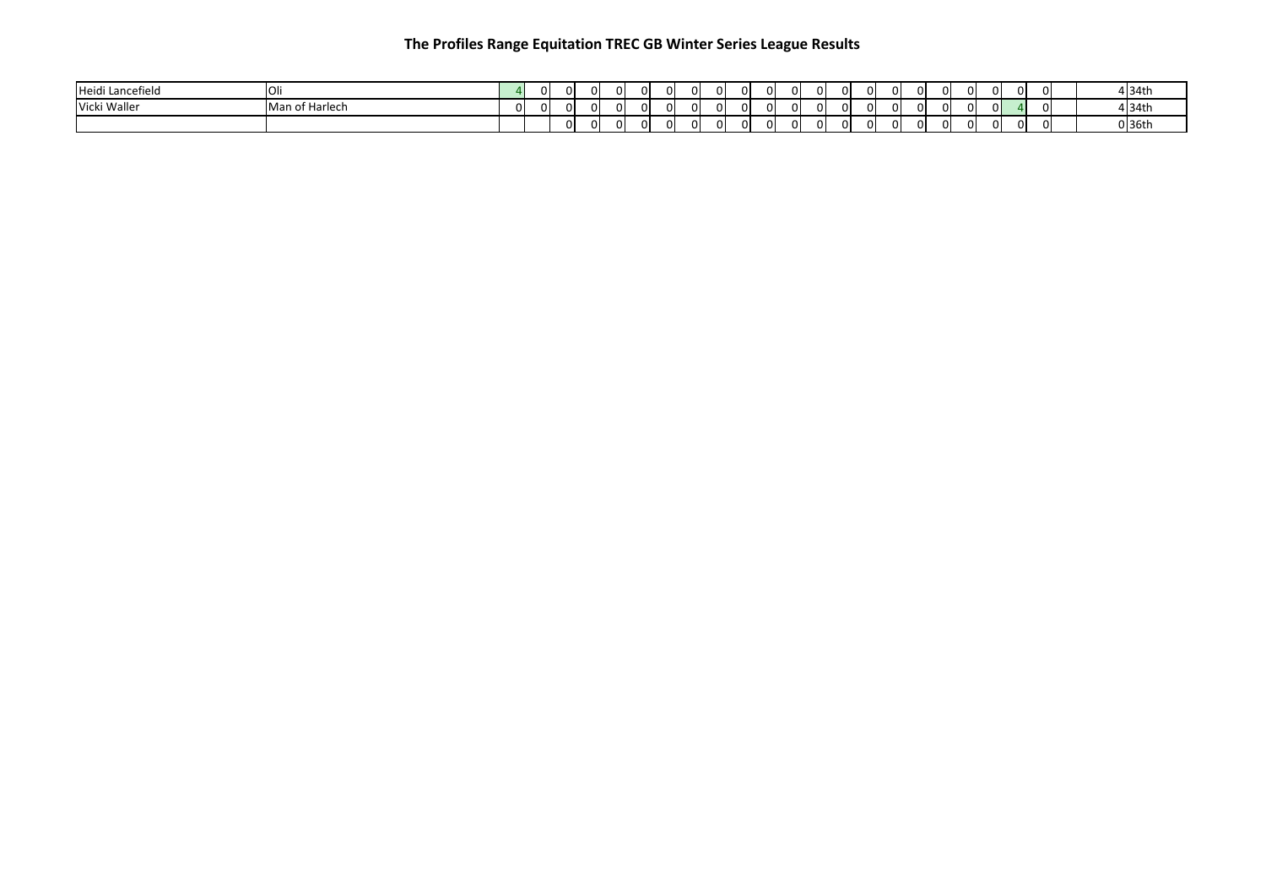| Heidi Lancefield | $\sim$         |          |  |  | ΩI | $\Omega$ | $\Omega$ |     |    | $\Omega$ |  | $\Omega$ |  |  | $\Omega$ |  | ΩI |  | 1 34th        |
|------------------|----------------|----------|--|--|----|----------|----------|-----|----|----------|--|----------|--|--|----------|--|----|--|---------------|
| Vicki Waller     | Man of Harlech | $\Omega$ |  |  | ΩI | $\Omega$ | $\Omega$ |     |    | $\Omega$ |  | $\Omega$ |  |  | $\Omega$ |  | ΩI |  | <u>1 34th</u> |
|                  |                |          |  |  | ΩI | $\Omega$ | $\Omega$ | - 0 | 01 | $\Omega$ |  | $\Omega$ |  |  | $\Omega$ |  | ΩI |  | $0$ 36th      |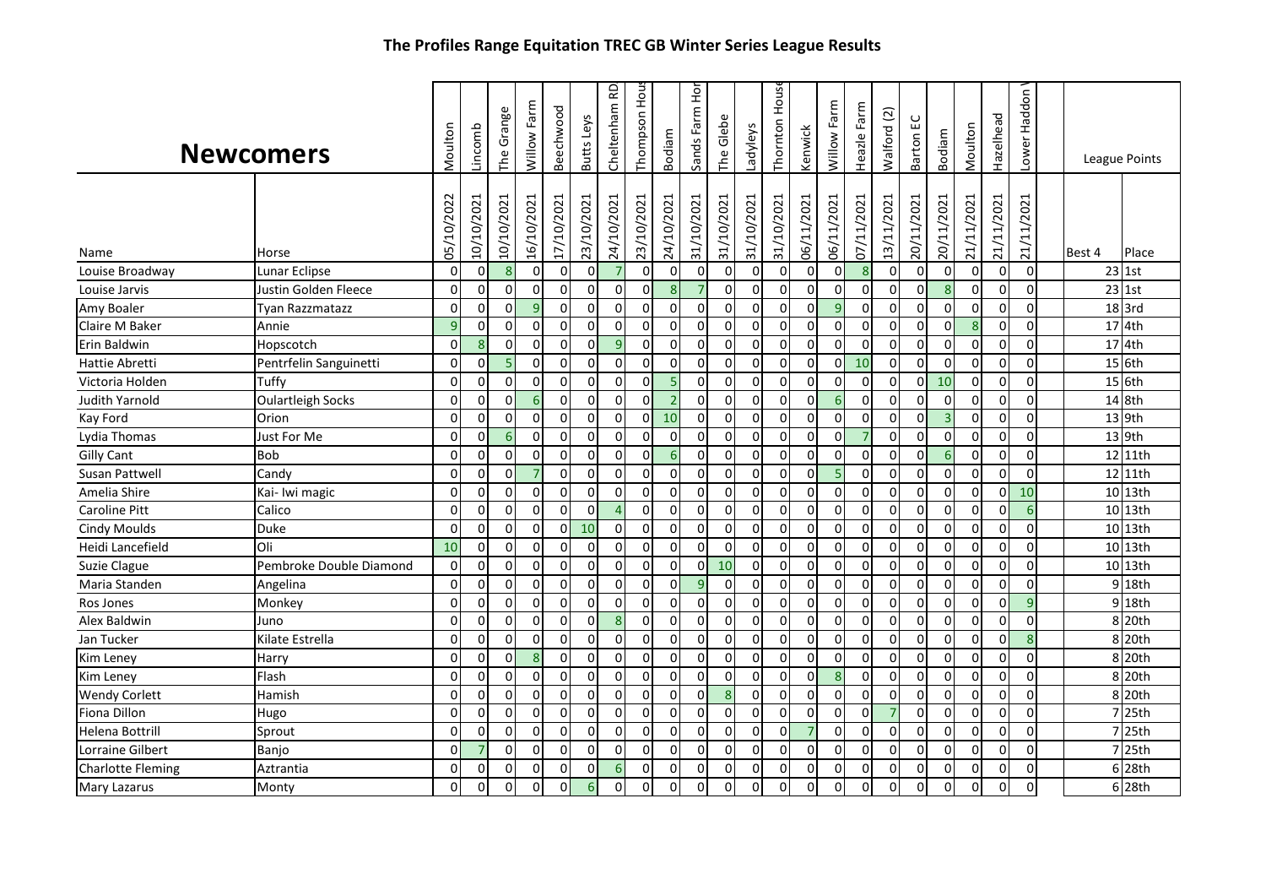|                          | The Frontes Range Equitation TREC OD WINTER Series League Results |             |                |                |                     |            |              |                |                |                  |                |                |                |               |                |                  |                |                |              |                     |            |                |                  |        |               |
|--------------------------|-------------------------------------------------------------------|-------------|----------------|----------------|---------------------|------------|--------------|----------------|----------------|------------------|----------------|----------------|----------------|---------------|----------------|------------------|----------------|----------------|--------------|---------------------|------------|----------------|------------------|--------|---------------|
|                          | <b>Newcomers</b>                                                  | Moulton     | Lincomb        | Grange<br>The  | Farm<br>Willow      | Beechwood  | Butts Leys   | Cheltenham RD  | Thompson Hou   | Bodiam           | Sands Farm Hor | The Glebe      | Ladyleys       | Thornton Hous | Kenwick        | Willow Farm      | Heazle Farm    | Walford (2)    | ဌ<br>Barton  | Bodiam              | Moulton    | Hazelhead      | Lower Haddon     |        | League Points |
| Name                     | Horse                                                             | 05/10/2022  | 10/10/2021     | 10/10/2021     | 16/10/2021          | 17/10/2021 | 23/10/2021   | 24/10/2021     | 23/10/2021     | 24/10/2021       | 31/10/2021     | 31/10/2021     | 31/10/2021     | 31/10/2021    | 06/11/2021     | 06/11/2021       | 07/11/2021     | 13/11/2021     | 20/11/2021   | 20/11/2021          | 21/11/2021 | 21/11/2021     | 21/11/2021       | Best 4 | Place         |
| Louise Broadway          | Lunar Eclipse                                                     | $\mathbf 0$ | $\overline{0}$ | 8              | $\mathbf 0$         | $\Omega$   | $\Omega$     |                | $\mathbf 0$    | $\overline{0}$   | $\Omega$       | $\Omega$       | 0              | $\Omega$      | $\Omega$       | $\mathbf 0$      | 8              | $\Omega$       | $\mathbf 0$  | $\overline{0}$      | $\Omega$   | $\Omega$       | $\mathbf 0$      |        | $23$ 1st      |
| Louise Jarvis            | Justin Golden Fleece                                              | $\Omega$    | $\Omega$       | $\Omega$       | $\overline{0}$      | $\Omega$   | $\Omega$     | $\Omega$       | $\Omega$       | 8                | $\overline{7}$ | $\Omega$       | $\Omega$       | $\Omega$      | $\Omega$       | $\mathsf 0$      | $\Omega$       | $\Omega$       | $\Omega$     | 8                   | $\Omega$   | $\Omega$       | $\Omega$         |        | $23$ 1st      |
| Amy Boaler               | Tyan Razzmatazz                                                   | $\mathbf 0$ | 0              | $\overline{0}$ | $\overline{9}$      | $\Omega$   | $\Omega$     | $\mathbf 0$    | $\mathbf 0$    | $\mathbf 0$      | $\Omega$       | $\overline{0}$ | $\overline{0}$ | $\Omega$      | $\mathbf 0$    | 9                | $\mathbf 0$    | $\overline{0}$ | 0            | $\mathbf{O}$        | O          | $\mathbf 0$    | $\mathbf 0$      |        | $18$ 3rd      |
| Claire M Baker           | Annie                                                             | 9           | $\overline{0}$ | $\Omega$       | $\mathbf 0$         | $\Omega$   | $\Omega$     | $\Omega$       | $\mathbf 0$    | $\Omega$         | $\Omega$       | $\overline{0}$ | $\Omega$       | $\Omega$      | $\Omega$       | $\mathbf 0$      | 0              | $\Omega$       | $\mathbf 0$  | $\mathbf{O}$        | Я          | $\Omega$       | $\Omega$         |        | 17 4th        |
| Erin Baldwin             | Hopscotch                                                         | $\Omega$    | 8              | $\Omega$       | $\mathbf 0$         | $\Omega$   | $\Omega$     | 9              | $\Omega$       | $\overline{0}$   | $\Omega$       | $\Omega$       | $\Omega$       | $\Omega$      | $\Omega$       | $\Omega$         | $\Omega$       | $\Omega$       | $\Omega$     | $\mathbf 0$         | $\Omega$   | $\Omega$       | $\Omega$         |        | 17 4th        |
| Hattie Abretti           | Pentrfelin Sanguinetti                                            | $\mathbf 0$ | 0              | 5 <sup>1</sup> | $\mathbf 0$         | $\Omega$   | $\Omega$     | $\Omega$       | $\mathbf 0$    | $\overline{0}$   | $\overline{0}$ | $\Omega$       | 0              | $\Omega$      | $\Omega$       | $\mathbf 0$      | 10             | $\overline{0}$ | $\mathbf 0$  | $\mathbf{0}$        | n          | $\overline{0}$ | $\mathbf 0$      |        | 15 6th        |
| Victoria Holden          | Tuffy                                                             | $\Omega$    | $\overline{0}$ | $\Omega$       | $\mathbf 0$         | $\Omega$   | $\Omega$     | $\Omega$       | 0              | 5                | $\Omega$       | $\Omega$       | 0              | $\Omega$      | $\Omega$       | $\mathbf 0$      | 0              | $\Omega$       | $\Omega$     | 10                  | O          | $\Omega$       | $\Omega$         |        | $15$ 6th      |
| Judith Yarnold           | <b>Oulartleigh Socks</b>                                          | $\Omega$    | $\Omega$       | $\Omega$       | $6\overline{6}$     | $\Omega$   | $\Omega$     | $\Omega$       | $\Omega$       | $\overline{2}$   | $\Omega$       | $\Omega$       | $\Omega$       | $\Omega$      | $\Omega$       | $6\phantom{1}6$  | $\Omega$       | $\Omega$       | $\Omega$     | $\mathbf 0$         | $\Omega$   | $\Omega$       | $\mathbf{0}$     |        | 14 8th        |
| Kay Ford                 | Orion                                                             | $\mathbf 0$ | $\mathbf 0$    | $\overline{0}$ | $\mathsf{O}\xspace$ | $\Omega$   | $\Omega$     | $\mathbf 0$    | 0              | 10               | $\overline{0}$ | $\Omega$       | 0              | $\Omega$      | $\mathbf 0$    | 0                | $\pmb{0}$      | $\overline{0}$ | $\mathbf{0}$ | 3                   | O          | $\overline{0}$ | $\mathbf 0$      |        | 13 9th        |
| Lydia Thomas             | Just For Me                                                       | $\Omega$    | $\overline{0}$ | 6              | $\mathbf 0$         | $\Omega$   | $\Omega$     | $\mathbf 0$    | 0              | 0                | $\Omega$       | $\Omega$       | 0              | $\Omega$      | $\Omega$       | $\mathbf 0$      | $\overline{7}$ | $\overline{0}$ | $\mathbf{0}$ | $\mathbf{0}$        | $\Omega$   | $\Omega$       | $\Omega$         |        | $13$ 9th      |
| <b>Gilly Cant</b>        | <b>Bob</b>                                                        | $\Omega$    | $\overline{0}$ | $\overline{0}$ | $\mathsf{O}\xspace$ | $\Omega$   | $\Omega$     | $\mathbf 0$    | $\mathbf 0$    | $6 \overline{6}$ | $\Omega$       | $\overline{0}$ | $\Omega$       | $\Omega$      | $\mathbf 0$    | $\mathbf 0$      | $\Omega$       | $\overline{0}$ | $\mathbf 0$  | 6 <sup>1</sup>      | $\Omega$   | $\Omega$       | $\Omega$         |        | 12 11th       |
| Susan Pattwell           | Candy                                                             | $\Omega$    | $\overline{0}$ | $\Omega$       | $\overline{7}$      | $\Omega$   | $\Omega$     | $\Omega$       | $\Omega$       | $\overline{0}$   | $\Omega$       | $\Omega$       | $\Omega$       | $\Omega$      | $\Omega$       | 5                | 0              | $\Omega$       | 0            | 0                   | n          | $\Omega$       | $\Omega$         |        | 12 11th       |
| Amelia Shire             | Kai- Iwi magic                                                    | $\mathbf 0$ | $\overline{0}$ | $\overline{0}$ | $\mathbf 0$         | $\Omega$   | <sup>n</sup> | $\Omega$       | $\mathbf 0$    | $\overline{0}$   | $\Omega$       | $\overline{0}$ | 0              | $\Omega$      | $\Omega$       | $\mathbf 0$      | 0              | $\Omega$       | 0            | 0                   | n          | $\Omega$       | 10               |        | 10 13th       |
| <b>Caroline Pitt</b>     | Calico                                                            | $\mathbf 0$ | $\overline{0}$ | $\overline{0}$ | $\overline{0}$      | $\Omega$   | $\Omega$     | $\overline{4}$ | $\mathbf 0$    | $\overline{0}$   | $\Omega$       | $\overline{0}$ | $\overline{0}$ | $\Omega$      | $\mathbf 0$    | $\mathbf 0$      | $\Omega$       | $\overline{0}$ | $\mathbf 0$  | $\mathbf 0$         | $\Omega$   | $\mathbf 0$    | $6\phantom{1}6$  |        | 10 13th       |
| <b>Cindy Moulds</b>      | Duke                                                              | $\mathbf 0$ | $\Omega$       | $\Omega$       | $\mathbf 0$         | 0          | 10           | $\Omega$       | $\mathbf 0$    | $\mathbf 0$      | $\Omega$       | $\Omega$       | 0              | 0             | $\mathbf 0$    | 0                | $\mathbf 0$    | οI             | $\Omega$     | $\mathbf{0}$        | O          | $\Omega$       | $\mathbf 0$      |        | 10 13th       |
| Heidi Lancefield         | Oli                                                               | 10          | $\Omega$       | $\Omega$       | $\pmb{0}$           | $\Omega$   | $\Omega$     | $\Omega$       | $\mathbf 0$    | $\Omega$         | $\Omega$       | $\Omega$       | 0              | $\Omega$      | $\Omega$       | 0                | $\Omega$       | $\Omega$       | $\mathbf 0$  | $\Omega$            | n          | $\Omega$       | $\Omega$         |        | 10 13th       |
| Suzie Clague             | Pembroke Double Diamond                                           | $\mathbf 0$ | $\overline{0}$ | $\overline{0}$ | $\mathsf{O}\xspace$ | $\Omega$   | $\Omega$     | $\mathbf 0$    | $\mathbf 0$    | $\overline{0}$   | οI             | 10             | $\Omega$       | $\Omega$      | $\mathbf 0$    | $\mathbf 0$      | $\Omega$       | $\Omega$       | $\mathbf 0$  | $\mathbf 0$         | $\Omega$   | $\Omega$       | $\mathbf 0$      |        | 10 13th       |
| Maria Standen            | Angelina                                                          | $\mathbf 0$ | 0              | $\Omega$       | $\Omega$            | $\Omega$   | $\Omega$     | $\Omega$       | 0              | 0                | $\overline{9}$ | $\Omega$       | 0              | $\Omega$      | $\Omega$       | 0                | $\mathbf 0$    | $\Omega$       | $\Omega$     | $\Omega$            | $\Omega$   | $\Omega$       | $\mathbf 0$      |        | 9 18th        |
| Ros Jones                | Monkev                                                            | $\Omega$    | $\Omega$       | $\Omega$       | $\mathbf 0$         | $\Omega$   | <sup>0</sup> | $\Omega$       | 0              | $\Omega$         | $\Omega$       | $\Omega$       | $\Omega$       | <sup>0</sup>  | $\Omega$       | 0                | $\Omega$       | $\Omega$       | $\Omega$     | $\Omega$            | n          | $\Omega$       | 9                |        | $9$ 18th      |
| Alex Baldwin             | Juno                                                              | $\mathbf 0$ | $\overline{0}$ | $\overline{0}$ | $\mathsf{O}\xspace$ | $\Omega$   | $\Omega$     | 8              | $\mathbf 0$    | $\overline{0}$   | $\Omega$       | $\Omega$       | $\overline{0}$ | $\Omega$      | $\mathbf 0$    | $\mathsf 0$      | $\Omega$       | $\overline{0}$ | 0            | $\mathbf 0$         | $\Omega$   | $\overline{0}$ | $\mathbf 0$      |        | 8 20th        |
| Jan Tucker               | Kilate Estrella                                                   | $\mathbf 0$ | $\Omega$       | $\Omega$       | $\mathbf 0$         | $\Omega$   | $\Omega$     | $\mathbf 0$    | $\mathbf 0$    | $\overline{0}$   | $\Omega$       | $\Omega$       | 0              | $\Omega$      | $\mathbf 0$    | $\mathbf 0$      | $\mathbf 0$    | $\overline{0}$ | $\mathbf{0}$ | $\mathbf{0}$        | $\Omega$   | $\overline{0}$ | $\boldsymbol{8}$ |        | 8 20th        |
| Kim Leney                | Harry                                                             | $\Omega$    | $\Omega$       | $\Omega$       | $\boldsymbol{8}$    | $\Omega$   | $\Omega$     | $\Omega$       | $\mathbf 0$    | $\overline{0}$   | $\Omega$       | $\Omega$       | $\Omega$       | $\Omega$      | $\Omega$       | 0                | 0              | $\overline{0}$ | $\mathbf 0$  | $\mathbf{O}$        | $\Omega$   | $\Omega$       | $\mathbf 0$      |        | 8 20th        |
| Kim Leney                | Flash                                                             | $\Omega$    | $\Omega$       | $\Omega$       | $\pmb{0}$           | $\Omega$   | $\Omega$     | $\Omega$       | $\pmb{0}$      | $\overline{0}$   | $\Omega$       | $\Omega$       | $\Omega$       | $\Omega$      | $\Omega$       | $\boldsymbol{8}$ | $\overline{0}$ | $\Omega$       | $\pmb{0}$    | $\mathsf{O}\xspace$ | $\Omega$   | $\mathbf 0$    | $\Omega$         |        | 8 20th        |
| <b>Wendy Corlett</b>     | Hamish                                                            | $\mathbf 0$ | $\overline{0}$ | $\overline{0}$ | $\mathbf 0$         | $\Omega$   | $\Omega$     | $\Omega$       | $\mathbf 0$    | 0                | $\Omega$       | 8              | 0              | 0             | $\Omega$       | 0                | 0              | οI             | $\Omega$     | 0                   | n          | $\Omega$       | 0                |        | 20th          |
| Fiona Dillon             | Hugo                                                              | $\mathbf 0$ | $\overline{0}$ | $\mathbf 0$    | $\mathbf 0$         | $\Omega$   | $\Omega$     | $\Omega$       | $\mathbf 0$    | $\overline{0}$   | $\Omega$       | $\Omega$       | $\overline{0}$ | $\Omega$      | $\Omega$       | 0                | 0              |                | $\mathbf{0}$ | $\mathbf{0}$        | O          | $\Omega$       | $\mathbf 0$      |        | 25th          |
| Helena Bottrill          | Sprout                                                            | $\mathbf 0$ | $\Omega$       | $\Omega$       | $\mathbf 0$         | $\Omega$   | $\Omega$     | $\Omega$       | $\mathbf 0$    | $\overline{0}$   | $\Omega$       | $\overline{0}$ | $\Omega$       | $\Omega$      | $\overline{7}$ | $\mathbf 0$      | $\Omega$       | $\Omega$       | $\mathbf 0$  | $\mathbf 0$         | $\Omega$   | $\Omega$       | $\Omega$         |        | 25th          |
| Lorraine Gilbert         | Banjo                                                             | $\mathbf 0$ | 7              | $\overline{0}$ | $\mathbf 0$         | $\Omega$   | $\Omega$     | $\mathbf 0$    | $\mathbf 0$    | $\overline{0}$   | $\overline{0}$ | $\Omega$       | 0              | $\Omega$      | $\mathbf 0$    | 0                | 0              | οI             | $\mathbf{0}$ | $\mathbf{0}$        | O          | $\mathbf 0$    | $\mathbf 0$      |        | 25th          |
| <b>Charlotte Fleming</b> | Aztrantia                                                         | 0           | 0              | $\Omega$       | $\mathbf 0$         | 0          | $\Omega$     | 6              | $\mathbf 0$    | 0                | 0              | $\overline{0}$ | 0              | $\Omega$      | $\mathbf 0$    | $\mathbf 0$      | 0              | $\Omega$       | 0            | $\mathbf{0}$        | n          | $\mathbf 0$    | $\mathbf 0$      |        | $6$ 28th      |
| Mary Lazarus             | Monty                                                             | $\mathbf 0$ | $\Omega$       | $\Omega$       | $\Omega$            | $\Omega$   |              | $\Omega$       | $\overline{0}$ | $\Omega$         | $\Omega$       | $\Omega$       | $\Omega$       | $\Omega$      | $\mathbf 0$    | $\mathbf 0$      | $\Omega$       | $\Omega$       | $\Omega$     | $\Omega$            | $\Omega$   | $\Omega$       | $\pmb{0}$        |        | 6 28th        |